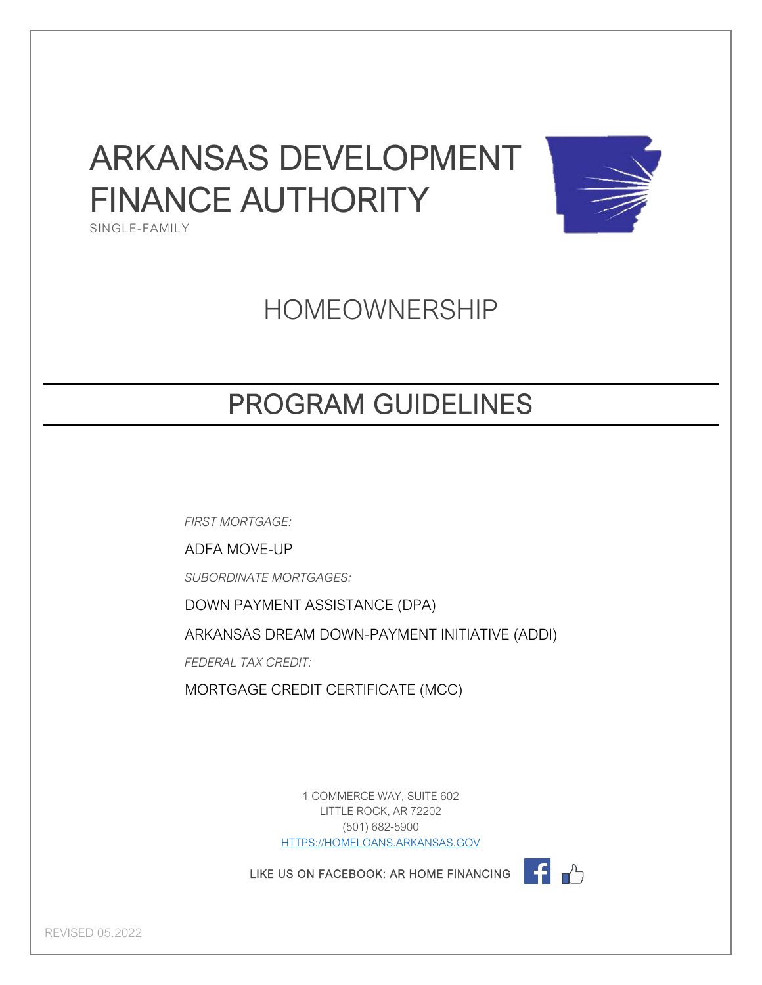### ARKANSAS DEVELOPMENT FINANCE AUTHORITY SINGLE-FAMILY



HOMEOWNERSHIP

### PROGRAM GUIDELINES

*FIRST MORTGAGE:*

ADFA MOVE-UP

*SUBORDINATE MORTGAGES:*

DOWN PAYMENT ASSISTANCE (DPA)

ARKANSAS DREAM DOWN-PAYMENT INITIATIVE (ADDI)

*FEDERAL TAX CREDIT:*

MORTGAGE CREDIT CERTIFICATE (MCC)

1 COMMERCE WAY, SUITE 602 LITTLE ROCK, AR 72202 (501) 682-5900 [HTTPS://HOMELOANS.ARKANSAS.GOV](https://homeloans.arkansas.gov/)

LIKE US ON FACEBOOK: AR HOME FINANCING



REVISED 05.2022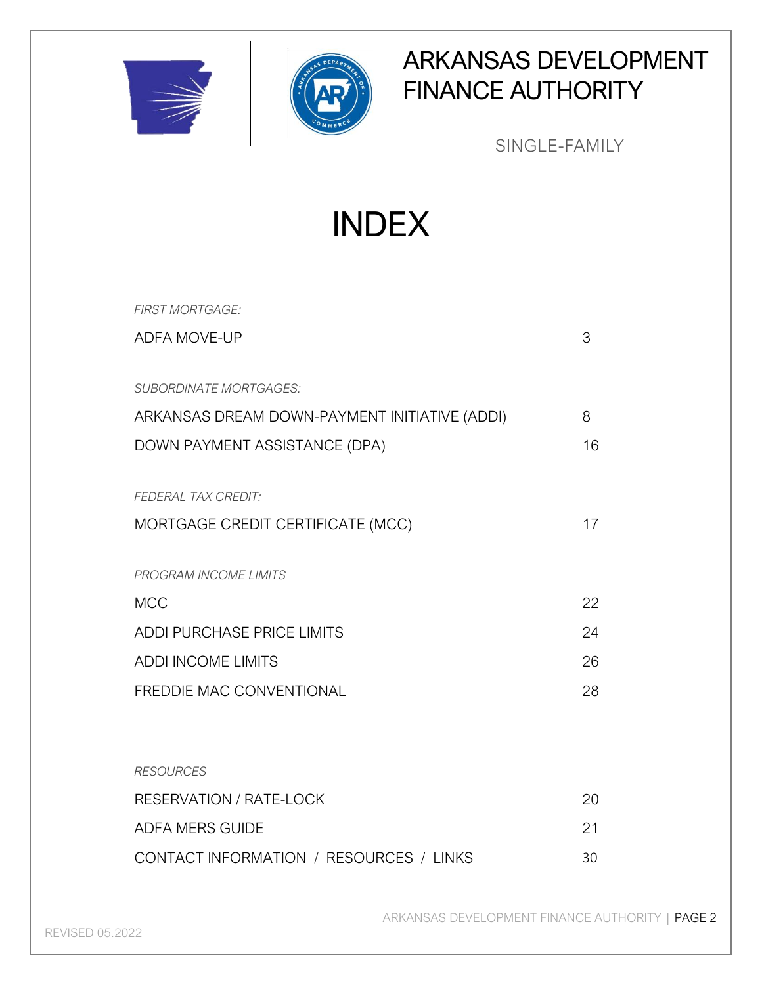



### ARKANSAS DEVELOPMENT FINANCE AUTHORITY

SINGLE-FAMILY

INDEX

| <b>FIRST MORTGAGE:</b>                        |    |
|-----------------------------------------------|----|
| <b>ADFA MOVE-UP</b>                           | 3  |
| <b>SUBORDINATE MORTGAGES:</b>                 |    |
| ARKANSAS DREAM DOWN-PAYMENT INITIATIVE (ADDI) | 8  |
| DOWN PAYMENT ASSISTANCE (DPA)                 | 16 |
| <b>FEDERAL TAX CREDIT:</b>                    |    |
| MORTGAGE CREDIT CERTIFICATE (MCC)             | 17 |
| <b>PROGRAM INCOME LIMITS</b>                  |    |
| <b>MCC</b>                                    | 22 |
| ADDI PURCHASE PRICE LIMITS                    | 24 |
| <b>ADDI INCOME LIMITS</b>                     | 26 |
| <b>FREDDIE MAC CONVENTIONAL</b>               | 28 |
| <b>RESOURCES</b>                              |    |
| <b>RESERVATION / RATE-LOCK</b>                | 20 |
| <b>ADFA MERS GUIDE</b>                        | 21 |
| CONTACT INFORMATION / RESOURCES / LINKS       | 30 |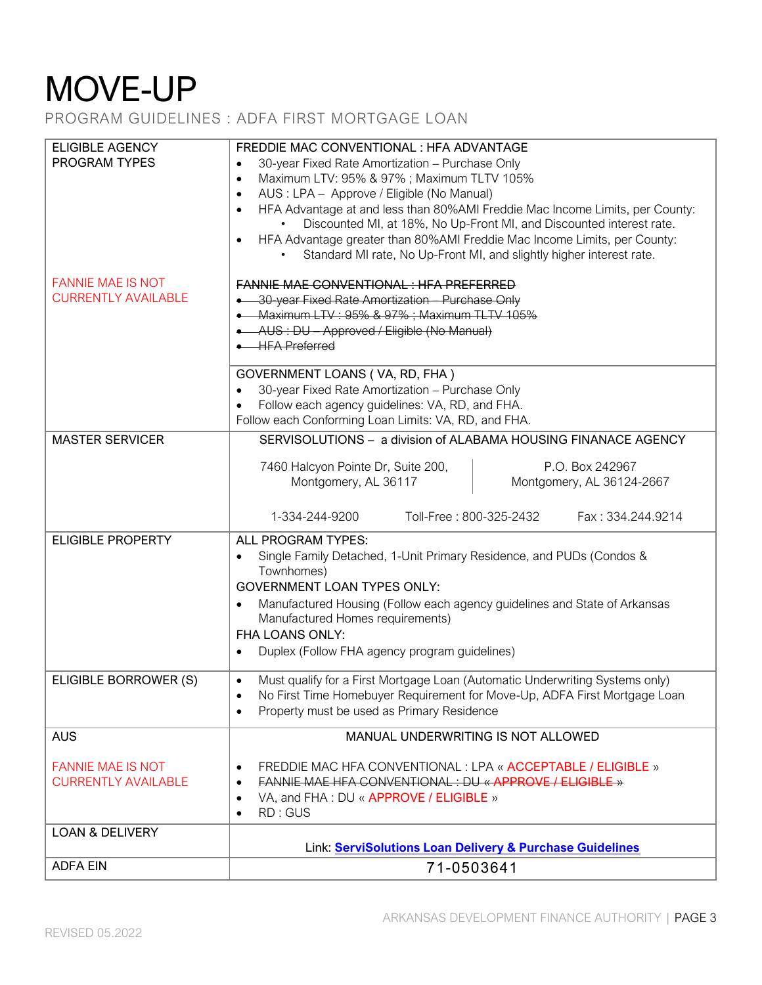PROGRAM GUIDELINES : ADFA FIRST MORTGAGE LOAN

| <b>ELIGIBLE AGENCY</b>                                 | FREDDIE MAC CONVENTIONAL : HFA ADVANTAGE                                                                                                          |
|--------------------------------------------------------|---------------------------------------------------------------------------------------------------------------------------------------------------|
| <b>PROGRAM TYPES</b>                                   | 30-year Fixed Rate Amortization - Purchase Only<br>$\bullet$<br>Maximum LTV: 95% & 97%; Maximum TLTV 105%<br>$\bullet$                            |
|                                                        | AUS : LPA - Approve / Eligible (No Manual)<br>$\bullet$                                                                                           |
|                                                        | HFA Advantage at and less than 80%AMI Freddie Mac Income Limits, per County:<br>$\bullet$                                                         |
|                                                        | Discounted MI, at 18%, No Up-Front MI, and Discounted interest rate.                                                                              |
|                                                        | HFA Advantage greater than 80%AMI Freddie Mac Income Limits, per County:<br>$\bullet$                                                             |
|                                                        | Standard MI rate, No Up-Front MI, and slightly higher interest rate.                                                                              |
| <b>FANNIE MAE IS NOT</b>                               | <b>FANNIE MAE CONVENTIONAL: HFA PREFERRED</b>                                                                                                     |
| <b>CURRENTLY AVAILABLE</b>                             | • 30-year Fixed Rate Amortization - Purchase Only                                                                                                 |
|                                                        | • Maximum LTV: 95% & 97%; Maximum TLTV 105%                                                                                                       |
|                                                        | • AUS: DU - Approved / Eligible (No Manual)                                                                                                       |
|                                                        | <b>. HFA Preferred</b>                                                                                                                            |
|                                                        | GOVERNMENT LOANS (VA, RD, FHA)                                                                                                                    |
|                                                        | 30-year Fixed Rate Amortization - Purchase Only<br>$\bullet$                                                                                      |
|                                                        | Follow each agency guidelines: VA, RD, and FHA.                                                                                                   |
|                                                        | Follow each Conforming Loan Limits: VA, RD, and FHA.                                                                                              |
| <b>MASTER SERVICER</b>                                 | SERVISOLUTIONS - a division of ALABAMA HOUSING FINANACE AGENCY                                                                                    |
|                                                        | 7460 Halcyon Pointe Dr, Suite 200,<br>P.O. Box 242967                                                                                             |
|                                                        | Montgomery, AL 36117<br>Montgomery, AL 36124-2667                                                                                                 |
|                                                        | Toll-Free: 800-325-2432<br>Fax: 334.244.9214                                                                                                      |
|                                                        | 1-334-244-9200                                                                                                                                    |
| <b>ELIGIBLE PROPERTY</b>                               | ALL PROGRAM TYPES:                                                                                                                                |
|                                                        | Single Family Detached, 1-Unit Primary Residence, and PUDs (Condos &<br>$\bullet$<br>Townhomes)                                                   |
|                                                        | <b>GOVERNMENT LOAN TYPES ONLY:</b>                                                                                                                |
|                                                        | Manufactured Housing (Follow each agency guidelines and State of Arkansas                                                                         |
|                                                        | Manufactured Homes requirements)                                                                                                                  |
|                                                        | <b>FHA LOANS ONLY:</b>                                                                                                                            |
|                                                        | Duplex (Follow FHA agency program guidelines)<br>$\bullet$                                                                                        |
| ELIGIBLE BORROWER (S)                                  | Must qualify for a First Mortgage Loan (Automatic Underwriting Systems only)<br>$\bullet$                                                         |
|                                                        | No First Time Homebuyer Requirement for Move-Up, ADFA First Mortgage Loan<br>$\bullet$                                                            |
|                                                        | Property must be used as Primary Residence<br>$\bullet$                                                                                           |
| <b>AUS</b>                                             | MANUAL UNDERWRITING IS NOT ALLOWED                                                                                                                |
|                                                        |                                                                                                                                                   |
| <b>FANNIE MAE IS NOT</b><br><b>CURRENTLY AVAILABLE</b> | FREDDIE MAC HFA CONVENTIONAL : LPA « ACCEPTABLE / ELIGIBLE »<br>$\bullet$<br>FANNIE MAE HFA CONVENTIONAL : DU « APPROVE / ELIGIBLE »<br>$\bullet$ |
|                                                        | VA, and FHA: DU « APPROVE / ELIGIBLE »<br>$\bullet$                                                                                               |
|                                                        | RD: GUS<br>$\bullet$                                                                                                                              |
| <b>LOAN &amp; DELIVERY</b>                             |                                                                                                                                                   |
|                                                        | Link: ServiSolutions Loan Delivery & Purchase Guidelines                                                                                          |
| <b>ADFA EIN</b>                                        | 71-0503641                                                                                                                                        |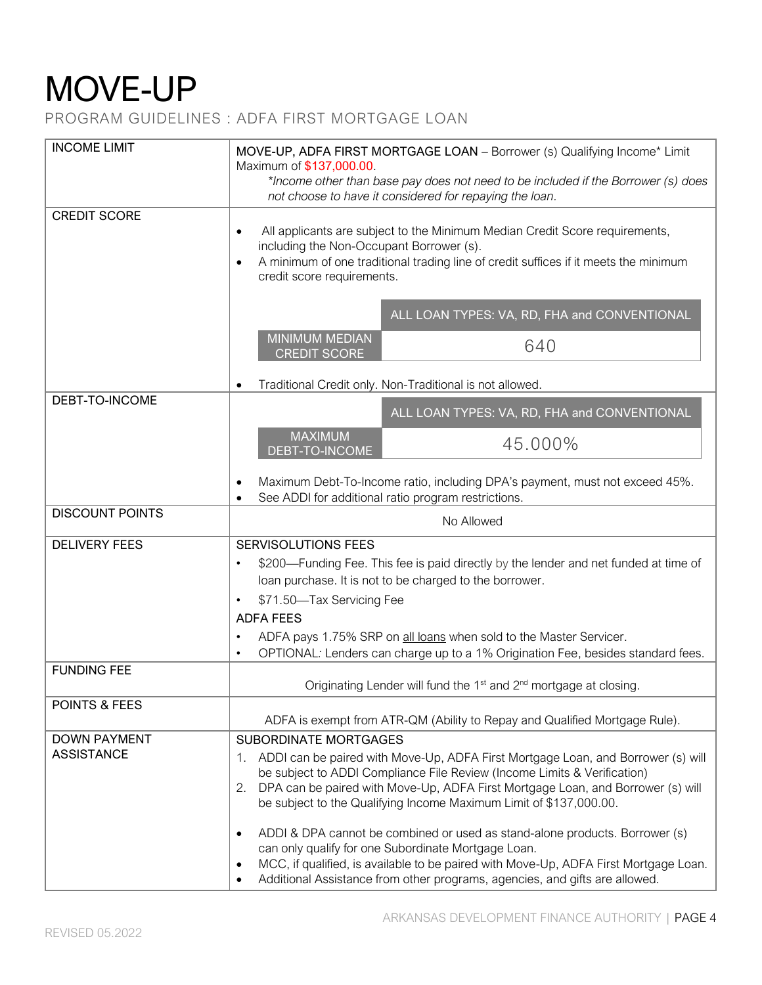PROGRAM GUIDELINES : ADFA FIRST MORTGAGE LOAN

| <b>INCOME LIMIT</b>                      | MOVE-UP, ADFA FIRST MORTGAGE LOAN - Borrower (s) Qualifying Income* Limit<br>Maximum of \$137,000.00.<br>*Income other than base pay does not need to be included if the Borrower (s) does<br>not choose to have it considered for repaying the loan.                                                                                                                                                                                                                                                                                                                                                                                                                                                 |
|------------------------------------------|-------------------------------------------------------------------------------------------------------------------------------------------------------------------------------------------------------------------------------------------------------------------------------------------------------------------------------------------------------------------------------------------------------------------------------------------------------------------------------------------------------------------------------------------------------------------------------------------------------------------------------------------------------------------------------------------------------|
| <b>CREDIT SCORE</b>                      | All applicants are subject to the Minimum Median Credit Score requirements,<br>$\bullet$<br>including the Non-Occupant Borrower (s).<br>A minimum of one traditional trading line of credit suffices if it meets the minimum<br>$\bullet$<br>credit score requirements.                                                                                                                                                                                                                                                                                                                                                                                                                               |
|                                          | ALL LOAN TYPES: VA, RD, FHA and CONVENTIONAL<br><b>MINIMUM MEDIAN</b><br>640<br><b>CREDIT SCORE</b>                                                                                                                                                                                                                                                                                                                                                                                                                                                                                                                                                                                                   |
|                                          | Traditional Credit only. Non-Traditional is not allowed.                                                                                                                                                                                                                                                                                                                                                                                                                                                                                                                                                                                                                                              |
| DEBT-TO-INCOME                           | ALL LOAN TYPES: VA, RD, FHA and CONVENTIONAL                                                                                                                                                                                                                                                                                                                                                                                                                                                                                                                                                                                                                                                          |
|                                          | <b>MAXIMUM</b><br>45.000%<br>DEBT-TO-INCOME                                                                                                                                                                                                                                                                                                                                                                                                                                                                                                                                                                                                                                                           |
|                                          | Maximum Debt-To-Income ratio, including DPA's payment, must not exceed 45%.<br>$\bullet$<br>See ADDI for additional ratio program restrictions.<br>$\bullet$                                                                                                                                                                                                                                                                                                                                                                                                                                                                                                                                          |
| <b>DISCOUNT POINTS</b>                   | No Allowed                                                                                                                                                                                                                                                                                                                                                                                                                                                                                                                                                                                                                                                                                            |
| <b>DELIVERY FEES</b>                     | SERVISOLUTIONS FEES<br>\$200—Funding Fee. This fee is paid directly by the lender and net funded at time of<br>$\bullet$<br>loan purchase. It is not to be charged to the borrower.<br>\$71.50-Tax Servicing Fee<br>$\bullet$<br><b>ADFA FEES</b><br>ADFA pays 1.75% SRP on all loans when sold to the Master Servicer.<br>$\bullet$<br>OPTIONAL: Lenders can charge up to a 1% Origination Fee, besides standard fees.<br>$\bullet$                                                                                                                                                                                                                                                                  |
| <b>FUNDING FEE</b>                       | Originating Lender will fund the 1 <sup>st</sup> and 2 <sup>nd</sup> mortgage at closing.                                                                                                                                                                                                                                                                                                                                                                                                                                                                                                                                                                                                             |
| POINTS & FEES                            | ADFA is exempt from ATR-QM (Ability to Repay and Qualified Mortgage Rule).                                                                                                                                                                                                                                                                                                                                                                                                                                                                                                                                                                                                                            |
| <b>DOWN PAYMENT</b><br><b>ASSISTANCE</b> | <b>SUBORDINATE MORTGAGES</b><br>1. ADDI can be paired with Move-Up, ADFA First Mortgage Loan, and Borrower (s) will<br>be subject to ADDI Compliance File Review (Income Limits & Verification)<br>DPA can be paired with Move-Up, ADFA First Mortgage Loan, and Borrower (s) will<br>2.<br>be subject to the Qualifying Income Maximum Limit of \$137,000.00.<br>ADDI & DPA cannot be combined or used as stand-alone products. Borrower (s)<br>$\bullet$<br>can only qualify for one Subordinate Mortgage Loan.<br>MCC, if qualified, is available to be paired with Move-Up, ADFA First Mortgage Loan.<br>$\bullet$<br>Additional Assistance from other programs, agencies, and gifts are allowed. |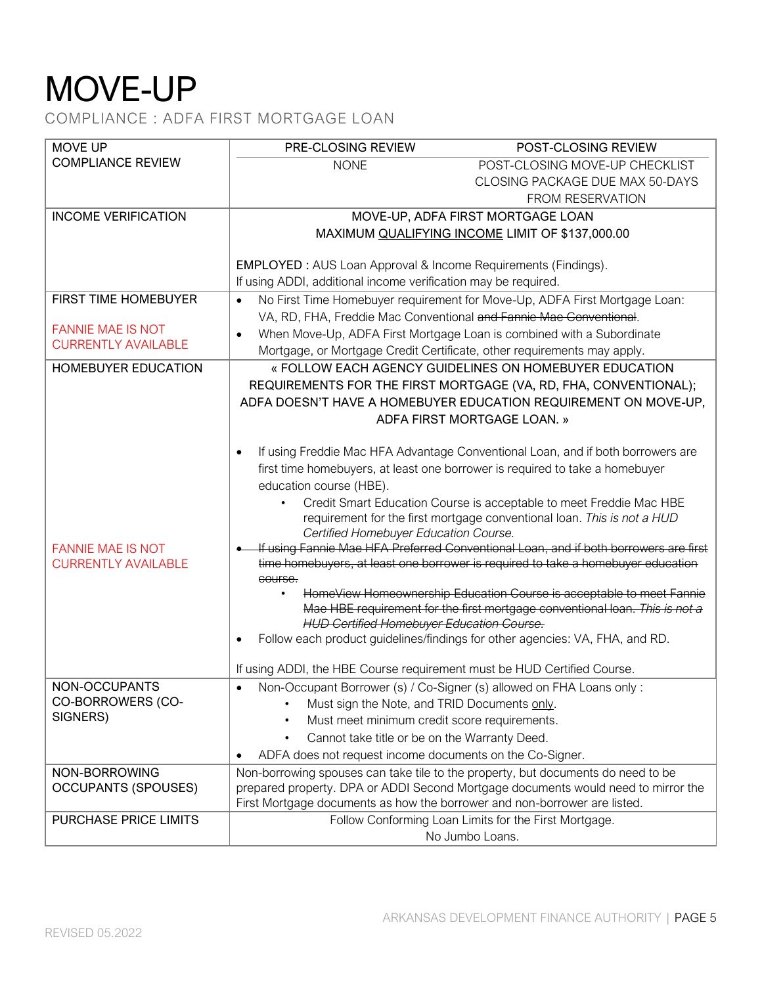COMPLIANCE : ADFA FIRST MORTGAGE LOAN

| <b>MOVE UP</b>                                         | PRE-CLOSING REVIEW                                                        | POST-CLOSING REVIEW                                                                                                                                                      |
|--------------------------------------------------------|---------------------------------------------------------------------------|--------------------------------------------------------------------------------------------------------------------------------------------------------------------------|
| <b>COMPLIANCE REVIEW</b>                               | <b>NONE</b>                                                               | POST-CLOSING MOVE-UP CHECKLIST                                                                                                                                           |
|                                                        |                                                                           | CLOSING PACKAGE DUE MAX 50-DAYS                                                                                                                                          |
|                                                        |                                                                           | <b>FROM RESERVATION</b>                                                                                                                                                  |
| <b>INCOME VERIFICATION</b>                             |                                                                           | MOVE-UP, ADFA FIRST MORTGAGE LOAN                                                                                                                                        |
|                                                        |                                                                           | MAXIMUM QUALIFYING INCOME LIMIT OF \$137,000.00                                                                                                                          |
|                                                        |                                                                           |                                                                                                                                                                          |
|                                                        | <b>EMPLOYED</b> : AUS Loan Approval & Income Requirements (Findings).     |                                                                                                                                                                          |
|                                                        | If using ADDI, additional income verification may be required.            |                                                                                                                                                                          |
| FIRST TIME HOMEBUYER                                   | $\bullet$                                                                 | No First Time Homebuyer requirement for Move-Up, ADFA First Mortgage Loan:                                                                                               |
|                                                        |                                                                           | VA, RD, FHA, Freddie Mac Conventional and Fannie Mae Conventional.                                                                                                       |
| <b>FANNIE MAE IS NOT</b>                               |                                                                           | When Move-Up, ADFA First Mortgage Loan is combined with a Subordinate                                                                                                    |
| <b>CURRENTLY AVAILABLE</b>                             |                                                                           | Mortgage, or Mortgage Credit Certificate, other requirements may apply.                                                                                                  |
| HOMEBUYER EDUCATION                                    |                                                                           | « FOLLOW EACH AGENCY GUIDELINES ON HOMEBUYER EDUCATION                                                                                                                   |
|                                                        |                                                                           | REQUIREMENTS FOR THE FIRST MORTGAGE (VA, RD, FHA, CONVENTIONAL);                                                                                                         |
|                                                        |                                                                           | ADFA DOESN'T HAVE A HOMEBUYER EDUCATION REQUIREMENT ON MOVE-UP,                                                                                                          |
|                                                        |                                                                           | ADFA FIRST MORTGAGE LOAN. »                                                                                                                                              |
|                                                        |                                                                           |                                                                                                                                                                          |
|                                                        |                                                                           | If using Freddie Mac HFA Advantage Conventional Loan, and if both borrowers are                                                                                          |
|                                                        |                                                                           | first time homebuyers, at least one borrower is required to take a homebuyer                                                                                             |
|                                                        | education course (HBE).                                                   |                                                                                                                                                                          |
|                                                        |                                                                           | Credit Smart Education Course is acceptable to meet Freddie Mac HBE                                                                                                      |
|                                                        |                                                                           | requirement for the first mortgage conventional loan. This is not a HUD                                                                                                  |
|                                                        | Certified Homebuyer Education Course.                                     |                                                                                                                                                                          |
| <b>FANNIE MAE IS NOT</b><br><b>CURRENTLY AVAILABLE</b> |                                                                           | If using Fannie Mae HFA Preferred Conventional Loan, and if both borrowers are first<br>time homebuyers, at least one borrower is required to take a homebuyer education |
|                                                        | course.                                                                   |                                                                                                                                                                          |
|                                                        |                                                                           | HomeView Homeownership Education Course is acceptable to meet Fannie                                                                                                     |
|                                                        |                                                                           | Mae HBE requirement for the first mortgage conventional loan. This is not a                                                                                              |
|                                                        | <b>HUD Certified Homebuyer Education Course.</b>                          |                                                                                                                                                                          |
|                                                        |                                                                           | Follow each product guidelines/findings for other agencies: VA, FHA, and RD.                                                                                             |
|                                                        | If using ADDI, the HBE Course requirement must be HUD Certified Course.   |                                                                                                                                                                          |
| NON-OCCUPANTS                                          | $\bullet$                                                                 | Non-Occupant Borrower (s) / Co-Signer (s) allowed on FHA Loans only :                                                                                                    |
| CO-BORROWERS (CO-                                      | Must sign the Note, and TRID Documents only.                              |                                                                                                                                                                          |
| SIGNERS)                                               | Must meet minimum credit score requirements.                              |                                                                                                                                                                          |
|                                                        | Cannot take title or be on the Warranty Deed.<br>$\bullet$                |                                                                                                                                                                          |
|                                                        | ADFA does not request income documents on the Co-Signer.                  |                                                                                                                                                                          |
| NON-BORROWING                                          |                                                                           | Non-borrowing spouses can take tile to the property, but documents do need to be                                                                                         |
| <b>OCCUPANTS (SPOUSES)</b>                             |                                                                           | prepared property. DPA or ADDI Second Mortgage documents would need to mirror the                                                                                        |
|                                                        | First Mortgage documents as how the borrower and non-borrower are listed. |                                                                                                                                                                          |
| PURCHASE PRICE LIMITS                                  |                                                                           | Follow Conforming Loan Limits for the First Mortgage.                                                                                                                    |
|                                                        |                                                                           | No Jumbo Loans.                                                                                                                                                          |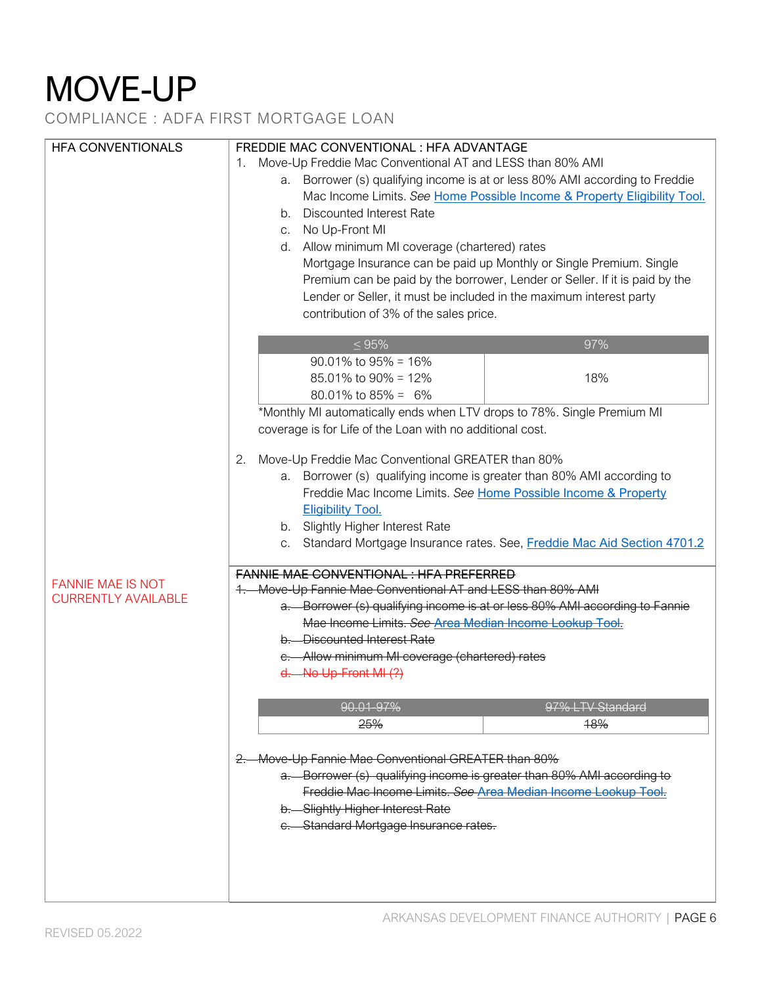COMPLIANCE : ADFA FIRST MORTGAGE LOAN

| <b>HFA CONVENTIONALS</b>   | FREDDIE MAC CONVENTIONAL : HFA ADVANTAGE                                     |  |
|----------------------------|------------------------------------------------------------------------------|--|
|                            | Move-Up Freddie Mac Conventional AT and LESS than 80% AMI<br>1.              |  |
|                            | a. Borrower (s) qualifying income is at or less 80% AMI according to Freddie |  |
|                            |                                                                              |  |
|                            | Mac Income Limits. See Home Possible Income & Property Eligibility Tool.     |  |
|                            | b. Discounted Interest Rate                                                  |  |
|                            | c. No Up-Front MI                                                            |  |
|                            | d. Allow minimum MI coverage (chartered) rates                               |  |
|                            | Mortgage Insurance can be paid up Monthly or Single Premium. Single          |  |
|                            | Premium can be paid by the borrower, Lender or Seller. If it is paid by the  |  |
|                            |                                                                              |  |
|                            | Lender or Seller, it must be included in the maximum interest party          |  |
|                            | contribution of 3% of the sales price.                                       |  |
|                            |                                                                              |  |
|                            | 97%<br>$\leq 95\%$                                                           |  |
|                            | $90.01\%$ to $95\% = 16\%$                                                   |  |
|                            | 85.01% to 90% = 12%<br>18%                                                   |  |
|                            | 80.01% to $85\% = 6\%$                                                       |  |
|                            | *Monthly MI automatically ends when LTV drops to 78%. Single Premium MI      |  |
|                            | coverage is for Life of the Loan with no additional cost.                    |  |
|                            |                                                                              |  |
|                            | Move-Up Freddie Mac Conventional GREATER than 80%<br>2.                      |  |
|                            | a. Borrower (s) qualifying income is greater than 80% AMI according to       |  |
|                            | Freddie Mac Income Limits. See Home Possible Income & Property               |  |
|                            |                                                                              |  |
|                            | <b>Eligibility Tool.</b>                                                     |  |
|                            | b. Slightly Higher Interest Rate                                             |  |
|                            | c. Standard Mortgage Insurance rates. See, Freddie Mac Aid Section 4701.2    |  |
|                            | <b>FANNIE MAE CONVENTIONAL: HFA PREFERRED</b>                                |  |
| <b>FANNIE MAE IS NOT</b>   | 1. Move-Up Fannie Mae Conventional AT and LESS than 80% AMI                  |  |
| <b>CURRENTLY AVAILABLE</b> |                                                                              |  |
|                            | a. Borrower (s) qualifying income is at or less 80% AMI according to Fannie  |  |
|                            | Mae Income Limits. See Area Median Income Lookup Tool.                       |  |
|                            | b. - Discounted Interest Rate                                                |  |
|                            | e.—Allow minimum MI coverage (chartered) rates                               |  |
|                            | $d.$ No Up-Front MI $(?)$                                                    |  |
|                            |                                                                              |  |
|                            | 90.01-97%<br>97% LTV Standard                                                |  |
|                            | 25%<br>18%                                                                   |  |
|                            |                                                                              |  |
|                            | 2. Move-Up Fannie Mae Conventional GREATER than 80%                          |  |
|                            | a. Borrower (s) qualifying income is greater than 80% AMI according to       |  |
|                            | Freddie Mac Income Limits. See Area Median Income Lookup Tool.               |  |
|                            | b. Slightly Higher Interest Rate                                             |  |
|                            | e. Standard Mortgage Insurance rates.                                        |  |
|                            |                                                                              |  |
|                            |                                                                              |  |
|                            |                                                                              |  |
|                            |                                                                              |  |
|                            |                                                                              |  |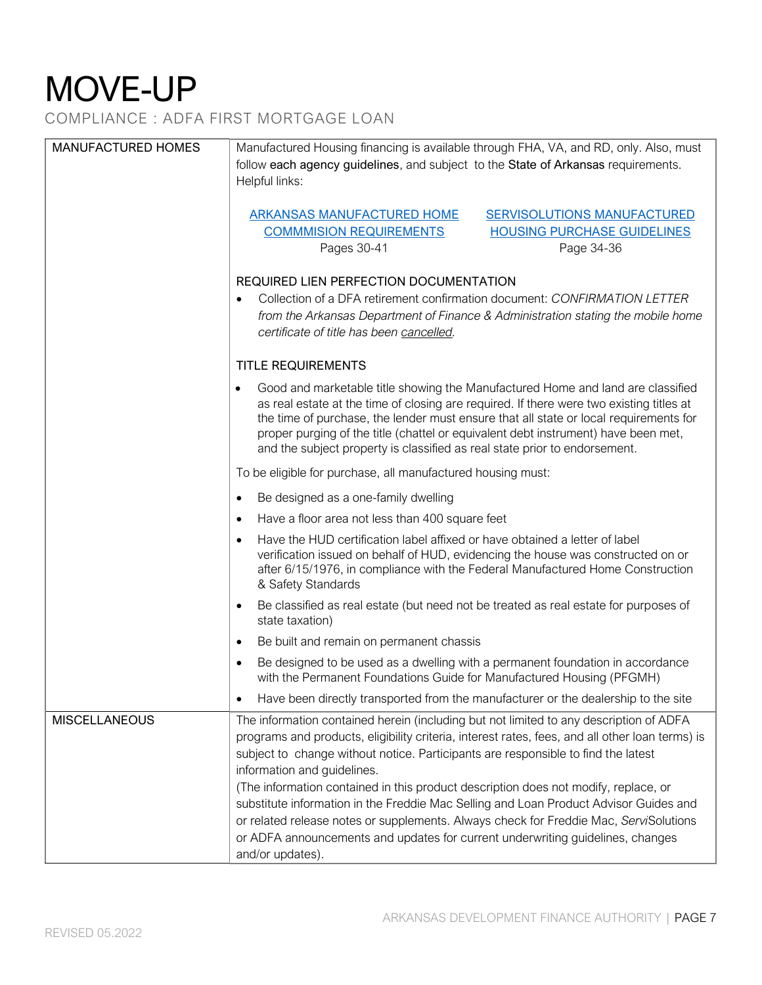COMPLIANCE : ADFA FIRST MORTGAGE LOAN

| <b>MANUFACTURED HOMES</b> | Manufactured Housing financing is available through FHA, VA, and RD, only. Also, must<br>follow each agency guidelines, and subject to the State of Arkansas requirements.<br>Helpful links:                                                                                                                                                                                                                                                          |
|---------------------------|-------------------------------------------------------------------------------------------------------------------------------------------------------------------------------------------------------------------------------------------------------------------------------------------------------------------------------------------------------------------------------------------------------------------------------------------------------|
|                           | <b>ARKANSAS MANUFACTURED HOME</b><br><b>SERVISOLUTIONS MANUFACTURED</b><br><b>COMMMISION REQUIREMENTS</b><br><b>HOUSING PURCHASE GUIDELINES</b><br>Pages 30-41<br>Page 34-36                                                                                                                                                                                                                                                                          |
|                           | REQUIRED LIEN PERFECTION DOCUMENTATION<br>Collection of a DFA retirement confirmation document: CONFIRMATION LETTER<br>from the Arkansas Department of Finance & Administration stating the mobile home<br>certificate of title has been cancelled.                                                                                                                                                                                                   |
|                           | <b>TITLE REQUIREMENTS</b>                                                                                                                                                                                                                                                                                                                                                                                                                             |
|                           | Good and marketable title showing the Manufactured Home and land are classified<br>$\bullet$<br>as real estate at the time of closing are required. If there were two existing titles at<br>the time of purchase, the lender must ensure that all state or local requirements for<br>proper purging of the title (chattel or equivalent debt instrument) have been met,<br>and the subject property is classified as real state prior to endorsement. |
|                           | To be eligible for purchase, all manufactured housing must:                                                                                                                                                                                                                                                                                                                                                                                           |
|                           | Be designed as a one-family dwelling<br>$\bullet$                                                                                                                                                                                                                                                                                                                                                                                                     |
|                           | Have a floor area not less than 400 square feet<br>$\bullet$                                                                                                                                                                                                                                                                                                                                                                                          |
|                           | Have the HUD certification label affixed or have obtained a letter of label<br>$\bullet$<br>verification issued on behalf of HUD, evidencing the house was constructed on or<br>after 6/15/1976, in compliance with the Federal Manufactured Home Construction<br>& Safety Standards                                                                                                                                                                  |
|                           | Be classified as real estate (but need not be treated as real estate for purposes of<br>$\bullet$<br>state taxation)                                                                                                                                                                                                                                                                                                                                  |
|                           | Be built and remain on permanent chassis<br>$\bullet$                                                                                                                                                                                                                                                                                                                                                                                                 |
|                           | Be designed to be used as a dwelling with a permanent foundation in accordance<br>with the Permanent Foundations Guide for Manufactured Housing (PFGMH)                                                                                                                                                                                                                                                                                               |
|                           | Have been directly transported from the manufacturer or the dealership to the site                                                                                                                                                                                                                                                                                                                                                                    |
| <b>MISCELLANEOUS</b>      | The information contained herein (including but not limited to any description of ADFA<br>programs and products, eligibility criteria, interest rates, fees, and all other loan terms) is<br>subject to change without notice. Participants are responsible to find the latest<br>information and guidelines.                                                                                                                                         |
|                           | (The information contained in this product description does not modify, replace, or<br>substitute information in the Freddie Mac Selling and Loan Product Advisor Guides and<br>or related release notes or supplements. Always check for Freddie Mac, ServiSolutions<br>or ADFA announcements and updates for current underwriting guidelines, changes<br>and/or updates).                                                                           |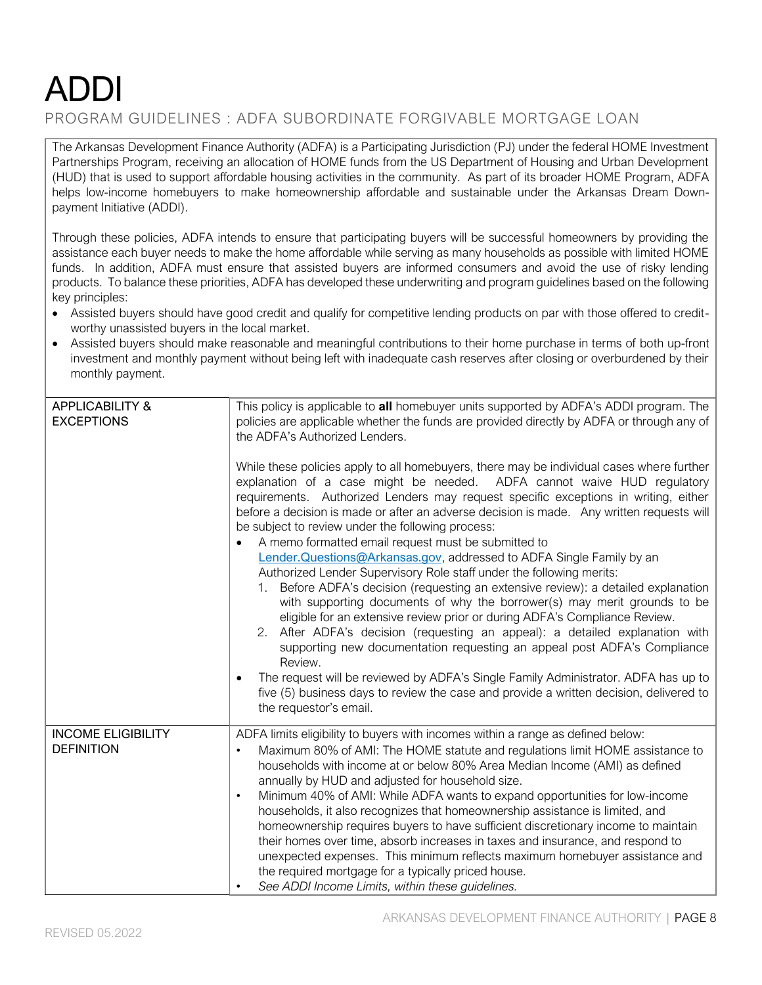#### PROGRAM GUIDELINES : ADFA SUBORDINATE FORGIVABLE MORTGAGE LOAN

The Arkansas Development Finance Authority (ADFA) is a Participating Jurisdiction (PJ) under the federal HOME Investment Partnerships Program, receiving an allocation of HOME funds from the US Department of Housing and Urban Development (HUD) that is used to support affordable housing activities in the community. As part of its broader HOME Program, ADFA helps low-income homebuyers to make homeownership affordable and sustainable under the Arkansas Dream Downpayment Initiative (ADDI).

Through these policies, ADFA intends to ensure that participating buyers will be successful homeowners by providing the assistance each buyer needs to make the home affordable while serving as many households as possible with limited HOME funds. In addition, ADFA must ensure that assisted buyers are informed consumers and avoid the use of risky lending products. To balance these priorities, ADFA has developed these underwriting and program guidelines based on the following key principles:

- Assisted buyers should have good credit and qualify for competitive lending products on par with those offered to creditworthy unassisted buyers in the local market.
- Assisted buyers should make reasonable and meaningful contributions to their home purchase in terms of both up-front investment and monthly payment without being left with inadequate cash reserves after closing or overburdened by their monthly payment.

| <b>APPLICABILITY &amp;</b><br><b>EXCEPTIONS</b> | This policy is applicable to all homebuyer units supported by ADFA's ADDI program. The<br>policies are applicable whether the funds are provided directly by ADFA or through any of<br>the ADFA's Authorized Lenders.<br>While these policies apply to all homebuyers, there may be individual cases where further<br>explanation of a case might be needed. ADFA cannot waive HUD regulatory<br>requirements. Authorized Lenders may request specific exceptions in writing, either<br>before a decision is made or after an adverse decision is made. Any written requests will<br>be subject to review under the following process:<br>A memo formatted email request must be submitted to<br>Lender. Questions@Arkansas.gov, addressed to ADFA Single Family by an<br>Authorized Lender Supervisory Role staff under the following merits:<br>1. Before ADFA's decision (requesting an extensive review): a detailed explanation<br>with supporting documents of why the borrower(s) may merit grounds to be<br>eligible for an extensive review prior or during ADFA's Compliance Review.<br>After ADFA's decision (requesting an appeal): a detailed explanation with<br>2.<br>supporting new documentation requesting an appeal post ADFA's Compliance<br>Review.<br>The request will be reviewed by ADFA's Single Family Administrator. ADFA has up to<br>$\bullet$<br>five (5) business days to review the case and provide a written decision, delivered to |
|-------------------------------------------------|-----------------------------------------------------------------------------------------------------------------------------------------------------------------------------------------------------------------------------------------------------------------------------------------------------------------------------------------------------------------------------------------------------------------------------------------------------------------------------------------------------------------------------------------------------------------------------------------------------------------------------------------------------------------------------------------------------------------------------------------------------------------------------------------------------------------------------------------------------------------------------------------------------------------------------------------------------------------------------------------------------------------------------------------------------------------------------------------------------------------------------------------------------------------------------------------------------------------------------------------------------------------------------------------------------------------------------------------------------------------------------------------------------------------------------------------------------------------------|
|                                                 | the requestor's email.                                                                                                                                                                                                                                                                                                                                                                                                                                                                                                                                                                                                                                                                                                                                                                                                                                                                                                                                                                                                                                                                                                                                                                                                                                                                                                                                                                                                                                                |
| <b>INCOME ELIGIBILITY</b><br><b>DEFINITION</b>  | ADFA limits eligibility to buyers with incomes within a range as defined below:<br>Maximum 80% of AMI: The HOME statute and regulations limit HOME assistance to<br>households with income at or below 80% Area Median Income (AMI) as defined<br>annually by HUD and adjusted for household size.<br>Minimum 40% of AMI: While ADFA wants to expand opportunities for low-income<br>$\bullet$<br>households, it also recognizes that homeownership assistance is limited, and<br>homeownership requires buyers to have sufficient discretionary income to maintain<br>their homes over time, absorb increases in taxes and insurance, and respond to<br>unexpected expenses. This minimum reflects maximum homebuyer assistance and<br>the required mortgage for a typically priced house.<br>See ADDI Income Limits, within these guidelines.                                                                                                                                                                                                                                                                                                                                                                                                                                                                                                                                                                                                                       |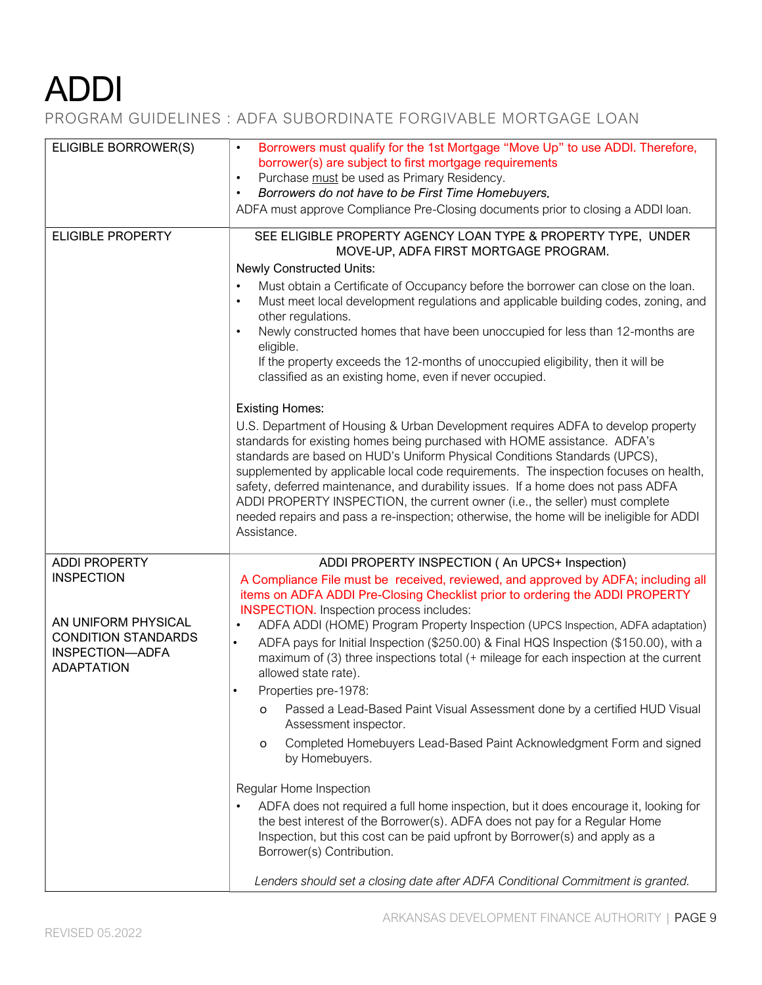### PROGRAM GUIDELINES : ADFA SUBORDINATE FORGIVABLE MORTGAGE LOAN

| Borrowers must qualify for the 1st Mortgage "Move Up" to use ADDI. Therefore,<br>borrower(s) are subject to first mortgage requirements<br>Purchase must be used as Primary Residency.<br>$\bullet$<br>Borrowers do not have to be First Time Homebuyers.<br>$\bullet$<br>ADFA must approve Compliance Pre-Closing documents prior to closing a ADDI Ioan.                                                                                                                                                                                                                                                                                                                                                                                                                                                                                                                                                                                                                                                                                                                                                                                                                                                                                                          |
|---------------------------------------------------------------------------------------------------------------------------------------------------------------------------------------------------------------------------------------------------------------------------------------------------------------------------------------------------------------------------------------------------------------------------------------------------------------------------------------------------------------------------------------------------------------------------------------------------------------------------------------------------------------------------------------------------------------------------------------------------------------------------------------------------------------------------------------------------------------------------------------------------------------------------------------------------------------------------------------------------------------------------------------------------------------------------------------------------------------------------------------------------------------------------------------------------------------------------------------------------------------------|
| SEE ELIGIBLE PROPERTY AGENCY LOAN TYPE & PROPERTY TYPE, UNDER<br>MOVE-UP, ADFA FIRST MORTGAGE PROGRAM.<br><b>Newly Constructed Units:</b><br>Must obtain a Certificate of Occupancy before the borrower can close on the loan.<br>$\bullet$<br>Must meet local development regulations and applicable building codes, zoning, and<br>$\bullet$<br>other regulations.<br>Newly constructed homes that have been unoccupied for less than 12-months are<br>eligible.<br>If the property exceeds the 12-months of unoccupied eligibility, then it will be<br>classified as an existing home, even if never occupied.<br><b>Existing Homes:</b><br>U.S. Department of Housing & Urban Development requires ADFA to develop property<br>standards for existing homes being purchased with HOME assistance. ADFA's<br>standards are based on HUD's Uniform Physical Conditions Standards (UPCS),<br>supplemented by applicable local code requirements. The inspection focuses on health,<br>safety, deferred maintenance, and durability issues. If a home does not pass ADFA<br>ADDI PROPERTY INSPECTION, the current owner (i.e., the seller) must complete<br>needed repairs and pass a re-inspection; otherwise, the home will be ineligible for ADDI<br>Assistance. |
| ADDI PROPERTY INSPECTION (An UPCS+ Inspection)<br>A Compliance File must be received, reviewed, and approved by ADFA; including all<br>items on ADFA ADDI Pre-Closing Checklist prior to ordering the ADDI PROPERTY<br><b>INSPECTION.</b> Inspection process includes:<br>ADFA ADDI (HOME) Program Property Inspection (UPCS Inspection, ADFA adaptation)<br>$\bullet$<br>ADFA pays for Initial Inspection (\$250.00) & Final HQS Inspection (\$150.00), with a<br>$\bullet$<br>maximum of (3) three inspections total (+ mileage for each inspection at the current<br>allowed state rate).<br>Properties pre-1978:<br>Passed a Lead-Based Paint Visual Assessment done by a certified HUD Visual<br>O<br>Assessment inspector.<br>Completed Homebuyers Lead-Based Paint Acknowledgment Form and signed<br>O<br>by Homebuyers.<br>Regular Home Inspection<br>ADFA does not required a full home inspection, but it does encourage it, looking for<br>the best interest of the Borrower(s). ADFA does not pay for a Regular Home<br>Inspection, but this cost can be paid upfront by Borrower(s) and apply as a<br>Borrower(s) Contribution.                                                                                                                        |
| Lenders should set a closing date after ADFA Conditional Commitment is granted.                                                                                                                                                                                                                                                                                                                                                                                                                                                                                                                                                                                                                                                                                                                                                                                                                                                                                                                                                                                                                                                                                                                                                                                     |
|                                                                                                                                                                                                                                                                                                                                                                                                                                                                                                                                                                                                                                                                                                                                                                                                                                                                                                                                                                                                                                                                                                                                                                                                                                                                     |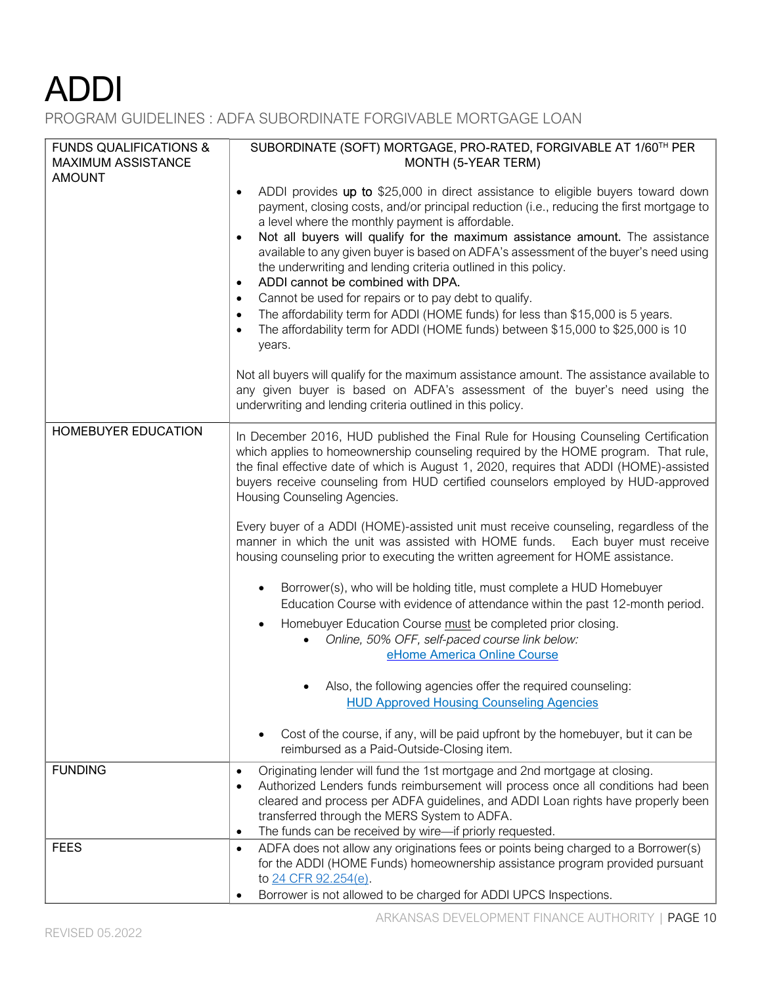PROGRAM GUIDELINES : ADFA SUBORDINATE FORGIVABLE MORTGAGE LOAN

| <b>FUNDS QUALIFICATIONS &amp;</b><br><b>MAXIMUM ASSISTANCE</b> | SUBORDINATE (SOFT) MORTGAGE, PRO-RATED, FORGIVABLE AT 1/60TH PER<br>MONTH (5-YEAR TERM)                                                                                                                                                                                                                                                                                                                                                                                                                                                                                                                                                                                                                                                                                                                                                                                                                                                                                                                                                                                                                                                                                                                               |
|----------------------------------------------------------------|-----------------------------------------------------------------------------------------------------------------------------------------------------------------------------------------------------------------------------------------------------------------------------------------------------------------------------------------------------------------------------------------------------------------------------------------------------------------------------------------------------------------------------------------------------------------------------------------------------------------------------------------------------------------------------------------------------------------------------------------------------------------------------------------------------------------------------------------------------------------------------------------------------------------------------------------------------------------------------------------------------------------------------------------------------------------------------------------------------------------------------------------------------------------------------------------------------------------------|
| <b>AMOUNT</b>                                                  | ADDI provides up to \$25,000 in direct assistance to eligible buyers toward down<br>$\bullet$<br>payment, closing costs, and/or principal reduction (i.e., reducing the first mortgage to<br>a level where the monthly payment is affordable.<br>Not all buyers will qualify for the maximum assistance amount. The assistance<br>$\bullet$<br>available to any given buyer is based on ADFA's assessment of the buyer's need using<br>the underwriting and lending criteria outlined in this policy.<br>ADDI cannot be combined with DPA.<br>$\bullet$<br>Cannot be used for repairs or to pay debt to qualify.<br>$\bullet$<br>The affordability term for ADDI (HOME funds) for less than \$15,000 is 5 years.<br>$\bullet$<br>The affordability term for ADDI (HOME funds) between \$15,000 to \$25,000 is 10<br>$\bullet$<br>years.                                                                                                                                                                                                                                                                                                                                                                               |
|                                                                | Not all buyers will qualify for the maximum assistance amount. The assistance available to<br>any given buyer is based on ADFA's assessment of the buyer's need using the<br>underwriting and lending criteria outlined in this policy.                                                                                                                                                                                                                                                                                                                                                                                                                                                                                                                                                                                                                                                                                                                                                                                                                                                                                                                                                                               |
| HOMEBUYER EDUCATION                                            | In December 2016, HUD published the Final Rule for Housing Counseling Certification<br>which applies to homeownership counseling required by the HOME program. That rule,<br>the final effective date of which is August 1, 2020, requires that ADDI (HOME)-assisted<br>buyers receive counseling from HUD certified counselors employed by HUD-approved<br>Housing Counseling Agencies.<br>Every buyer of a ADDI (HOME)-assisted unit must receive counseling, regardless of the<br>manner in which the unit was assisted with HOME funds. Each buyer must receive<br>housing counseling prior to executing the written agreement for HOME assistance.<br>Borrower(s), who will be holding title, must complete a HUD Homebuyer<br>Education Course with evidence of attendance within the past 12-month period.<br>Homebuyer Education Course must be completed prior closing.<br>Online, 50% OFF, self-paced course link below:<br>eHome America Online Course<br>Also, the following agencies offer the required counseling:<br><b>HUD Approved Housing Counseling Agencies</b><br>Cost of the course, if any, will be paid upfront by the homebuyer, but it can be<br>reimbursed as a Paid-Outside-Closing item. |
| <b>FUNDING</b>                                                 | Originating lender will fund the 1st mortgage and 2nd mortgage at closing.<br>$\bullet$<br>Authorized Lenders funds reimbursement will process once all conditions had been<br>$\bullet$<br>cleared and process per ADFA guidelines, and ADDI Loan rights have properly been<br>transferred through the MERS System to ADFA.<br>The funds can be received by wire-if priorly requested.<br>$\bullet$                                                                                                                                                                                                                                                                                                                                                                                                                                                                                                                                                                                                                                                                                                                                                                                                                  |
| <b>FEES</b>                                                    | ADFA does not allow any originations fees or points being charged to a Borrower(s)<br>$\bullet$<br>for the ADDI (HOME Funds) homeownership assistance program provided pursuant<br>to 24 CFR 92.254(e).<br>Borrower is not allowed to be charged for ADDI UPCS Inspections.<br>$\bullet$                                                                                                                                                                                                                                                                                                                                                                                                                                                                                                                                                                                                                                                                                                                                                                                                                                                                                                                              |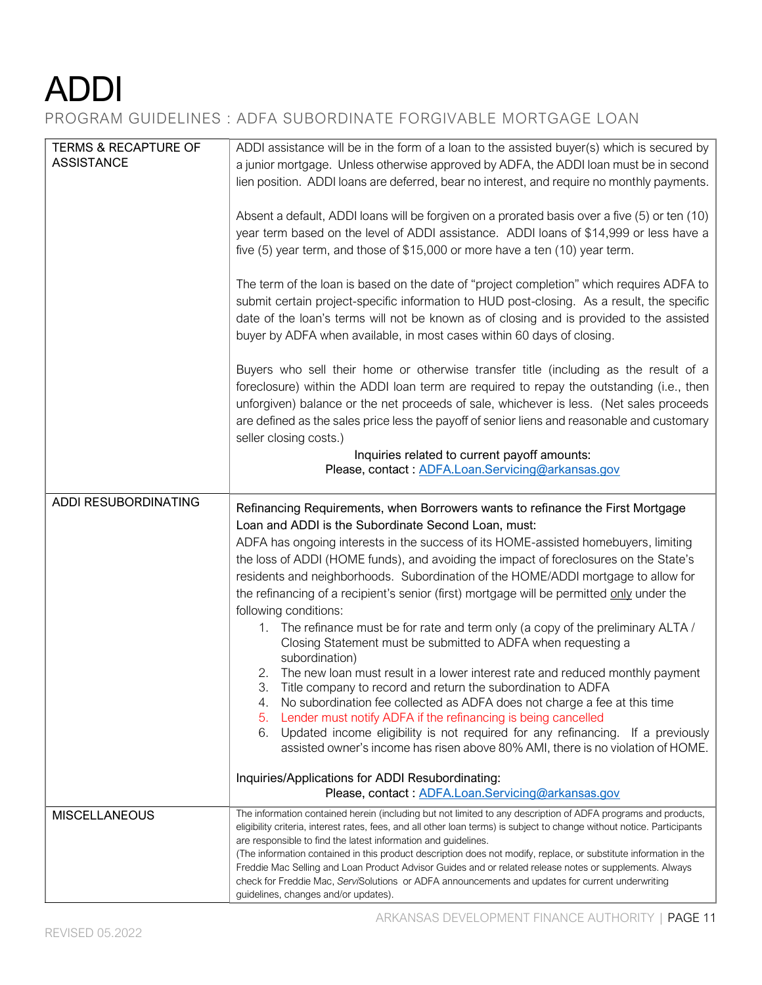PROGRAM GUIDELINES : ADFA SUBORDINATE FORGIVABLE MORTGAGE LOAN

| <b>TERMS &amp; RECAPTURE OF</b><br><b>ASSISTANCE</b> | ADDI assistance will be in the form of a loan to the assisted buyer(s) which is secured by<br>a junior mortgage. Unless otherwise approved by ADFA, the ADDI loan must be in second<br>lien position. ADDI loans are deferred, bear no interest, and require no monthly payments.                                                                                                                                                                                                                                                                                                                                                                                                                                                                                                                                                                                                                                                                                                                                                                                                                                                                                                                                                                                                                                 |
|------------------------------------------------------|-------------------------------------------------------------------------------------------------------------------------------------------------------------------------------------------------------------------------------------------------------------------------------------------------------------------------------------------------------------------------------------------------------------------------------------------------------------------------------------------------------------------------------------------------------------------------------------------------------------------------------------------------------------------------------------------------------------------------------------------------------------------------------------------------------------------------------------------------------------------------------------------------------------------------------------------------------------------------------------------------------------------------------------------------------------------------------------------------------------------------------------------------------------------------------------------------------------------------------------------------------------------------------------------------------------------|
|                                                      | Absent a default, ADDI loans will be forgiven on a prorated basis over a five (5) or ten (10)<br>year term based on the level of ADDI assistance. ADDI loans of \$14,999 or less have a<br>five (5) year term, and those of \$15,000 or more have a ten (10) year term.                                                                                                                                                                                                                                                                                                                                                                                                                                                                                                                                                                                                                                                                                                                                                                                                                                                                                                                                                                                                                                           |
|                                                      | The term of the loan is based on the date of "project completion" which requires ADFA to<br>submit certain project-specific information to HUD post-closing. As a result, the specific<br>date of the loan's terms will not be known as of closing and is provided to the assisted<br>buyer by ADFA when available, in most cases within 60 days of closing.                                                                                                                                                                                                                                                                                                                                                                                                                                                                                                                                                                                                                                                                                                                                                                                                                                                                                                                                                      |
|                                                      | Buyers who sell their home or otherwise transfer title (including as the result of a<br>foreclosure) within the ADDI loan term are required to repay the outstanding (i.e., then<br>unforgiven) balance or the net proceeds of sale, whichever is less. (Net sales proceeds<br>are defined as the sales price less the payoff of senior liens and reasonable and customary<br>seller closing costs.)                                                                                                                                                                                                                                                                                                                                                                                                                                                                                                                                                                                                                                                                                                                                                                                                                                                                                                              |
|                                                      | Inquiries related to current payoff amounts:<br>Please, contact: ADFA.Loan.Servicing@arkansas.gov                                                                                                                                                                                                                                                                                                                                                                                                                                                                                                                                                                                                                                                                                                                                                                                                                                                                                                                                                                                                                                                                                                                                                                                                                 |
| ADDI RESUBORDINATING                                 | Refinancing Requirements, when Borrowers wants to refinance the First Mortgage<br>Loan and ADDI is the Subordinate Second Loan, must:<br>ADFA has ongoing interests in the success of its HOME-assisted homebuyers, limiting<br>the loss of ADDI (HOME funds), and avoiding the impact of foreclosures on the State's<br>residents and neighborhoods. Subordination of the HOME/ADDI mortgage to allow for<br>the refinancing of a recipient's senior (first) mortgage will be permitted only under the<br>following conditions:<br>1. The refinance must be for rate and term only (a copy of the preliminary ALTA /<br>Closing Statement must be submitted to ADFA when requesting a<br>subordination)<br>The new loan must result in a lower interest rate and reduced monthly payment<br>2.<br>3. Title company to record and return the subordination to ADFA<br>No subordination fee collected as ADFA does not charge a fee at this time<br>4.<br>Lender must notify ADFA if the refinancing is being cancelled<br>5.<br>Updated income eligibility is not required for any refinancing. If a previously<br>6.<br>assisted owner's income has risen above 80% AMI, there is no violation of HOME.<br>Inquiries/Applications for ADDI Resubordinating:<br>Please, contact: ADFA.Loan.Servicing@arkansas.gov |
| <b>MISCELLANEOUS</b>                                 | The information contained herein (including but not limited to any description of ADFA programs and products,<br>eligibility criteria, interest rates, fees, and all other loan terms) is subject to change without notice. Participants<br>are responsible to find the latest information and guidelines.<br>(The information contained in this product description does not modify, replace, or substitute information in the<br>Freddie Mac Selling and Loan Product Advisor Guides and or related release notes or supplements. Always<br>check for Freddie Mac, ServiSolutions or ADFA announcements and updates for current underwriting                                                                                                                                                                                                                                                                                                                                                                                                                                                                                                                                                                                                                                                                    |
|                                                      | guidelines, changes and/or updates).                                                                                                                                                                                                                                                                                                                                                                                                                                                                                                                                                                                                                                                                                                                                                                                                                                                                                                                                                                                                                                                                                                                                                                                                                                                                              |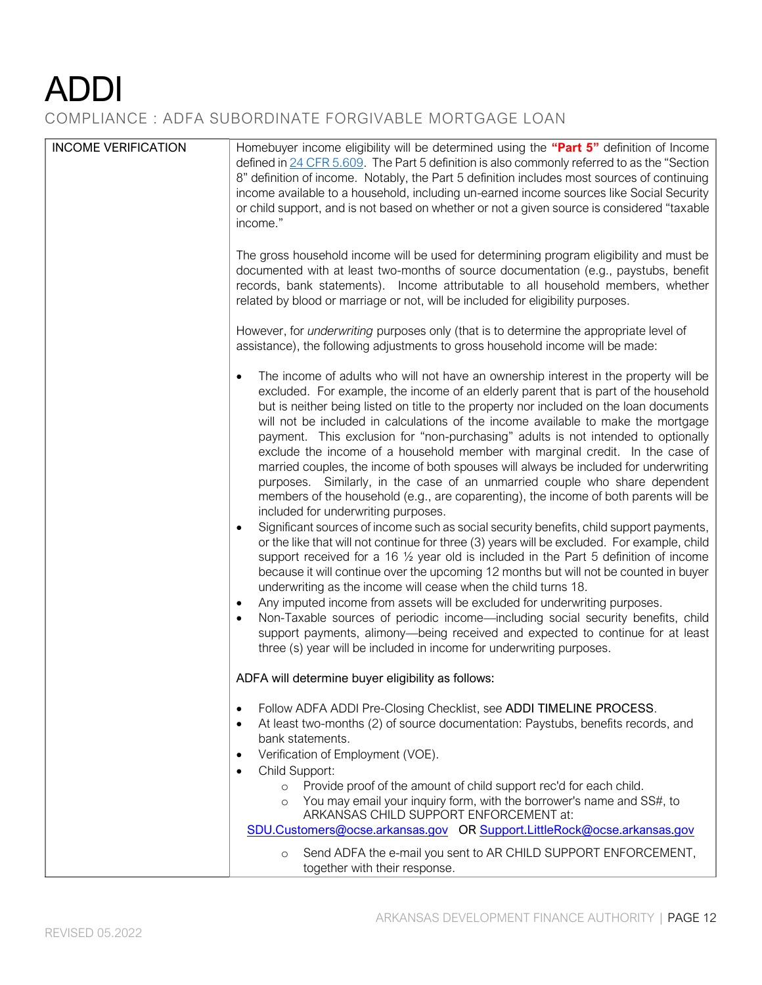COMPLIANCE : ADFA SUBORDINATE FORGIVABLE MORTGAGE LOAN

| <b>INCOME VERIFICATION</b> | Homebuyer income eligibility will be determined using the "Part 5" definition of Income<br>defined in 24 CFR 5.609. The Part 5 definition is also commonly referred to as the "Section"<br>8" definition of income. Notably, the Part 5 definition includes most sources of continuing<br>income available to a household, including un-earned income sources like Social Security<br>or child support, and is not based on whether or not a given source is considered "taxable<br>income."<br>The gross household income will be used for determining program eligibility and must be<br>documented with at least two-months of source documentation (e.g., paystubs, benefit                                                                                                                                                                                                                                                                                                                                                                                                                                                                                                                                                                                                                                                                                                                                                                                                                                                                                                                                                                                                                                                          |
|----------------------------|------------------------------------------------------------------------------------------------------------------------------------------------------------------------------------------------------------------------------------------------------------------------------------------------------------------------------------------------------------------------------------------------------------------------------------------------------------------------------------------------------------------------------------------------------------------------------------------------------------------------------------------------------------------------------------------------------------------------------------------------------------------------------------------------------------------------------------------------------------------------------------------------------------------------------------------------------------------------------------------------------------------------------------------------------------------------------------------------------------------------------------------------------------------------------------------------------------------------------------------------------------------------------------------------------------------------------------------------------------------------------------------------------------------------------------------------------------------------------------------------------------------------------------------------------------------------------------------------------------------------------------------------------------------------------------------------------------------------------------------|
|                            | records, bank statements). Income attributable to all household members, whether<br>related by blood or marriage or not, will be included for eligibility purposes.<br>However, for underwriting purposes only (that is to determine the appropriate level of                                                                                                                                                                                                                                                                                                                                                                                                                                                                                                                                                                                                                                                                                                                                                                                                                                                                                                                                                                                                                                                                                                                                                                                                                                                                                                                                                                                                                                                                            |
|                            | assistance), the following adjustments to gross household income will be made:<br>The income of adults who will not have an ownership interest in the property will be<br>excluded. For example, the income of an elderly parent that is part of the household<br>but is neither being listed on title to the property nor included on the loan documents<br>will not be included in calculations of the income available to make the mortgage<br>payment. This exclusion for "non-purchasing" adults is not intended to optionally<br>exclude the income of a household member with marginal credit. In the case of<br>married couples, the income of both spouses will always be included for underwriting<br>purposes. Similarly, in the case of an unmarried couple who share dependent<br>members of the household (e.g., are coparenting), the income of both parents will be<br>included for underwriting purposes.<br>Significant sources of income such as social security benefits, child support payments,<br>$\bullet$<br>or the like that will not continue for three (3) years will be excluded. For example, child<br>support received for a 16 $\frac{1}{2}$ year old is included in the Part 5 definition of income<br>because it will continue over the upcoming 12 months but will not be counted in buyer<br>underwriting as the income will cease when the child turns 18.<br>Any imputed income from assets will be excluded for underwriting purposes.<br>$\bullet$<br>Non-Taxable sources of periodic income-including social security benefits, child<br>support payments, alimony-being received and expected to continue for at least<br>three (s) year will be included in income for underwriting purposes. |
|                            | ADFA will determine buyer eligibility as follows:                                                                                                                                                                                                                                                                                                                                                                                                                                                                                                                                                                                                                                                                                                                                                                                                                                                                                                                                                                                                                                                                                                                                                                                                                                                                                                                                                                                                                                                                                                                                                                                                                                                                                        |
|                            | Follow ADFA ADDI Pre-Closing Checklist, see ADDI TIMELINE PROCESS.<br>$\bullet$<br>At least two-months (2) of source documentation: Paystubs, benefits records, and<br>bank statements.<br>Verification of Employment (VOE).<br>$\bullet$<br>Child Support:                                                                                                                                                                                                                                                                                                                                                                                                                                                                                                                                                                                                                                                                                                                                                                                                                                                                                                                                                                                                                                                                                                                                                                                                                                                                                                                                                                                                                                                                              |
|                            | Provide proof of the amount of child support rec'd for each child.<br>$\Omega$<br>You may email your inquiry form, with the borrower's name and SS#, to<br>$\circ$<br>ARKANSAS CHILD SUPPORT ENFORCEMENT at:                                                                                                                                                                                                                                                                                                                                                                                                                                                                                                                                                                                                                                                                                                                                                                                                                                                                                                                                                                                                                                                                                                                                                                                                                                                                                                                                                                                                                                                                                                                             |
|                            | SDU.Customers@ocse.arkansas.gov OR Support.LittleRock@ocse.arkansas.gov<br>Send ADFA the e-mail you sent to AR CHILD SUPPORT ENFORCEMENT,<br>$\circ$<br>together with their response.                                                                                                                                                                                                                                                                                                                                                                                                                                                                                                                                                                                                                                                                                                                                                                                                                                                                                                                                                                                                                                                                                                                                                                                                                                                                                                                                                                                                                                                                                                                                                    |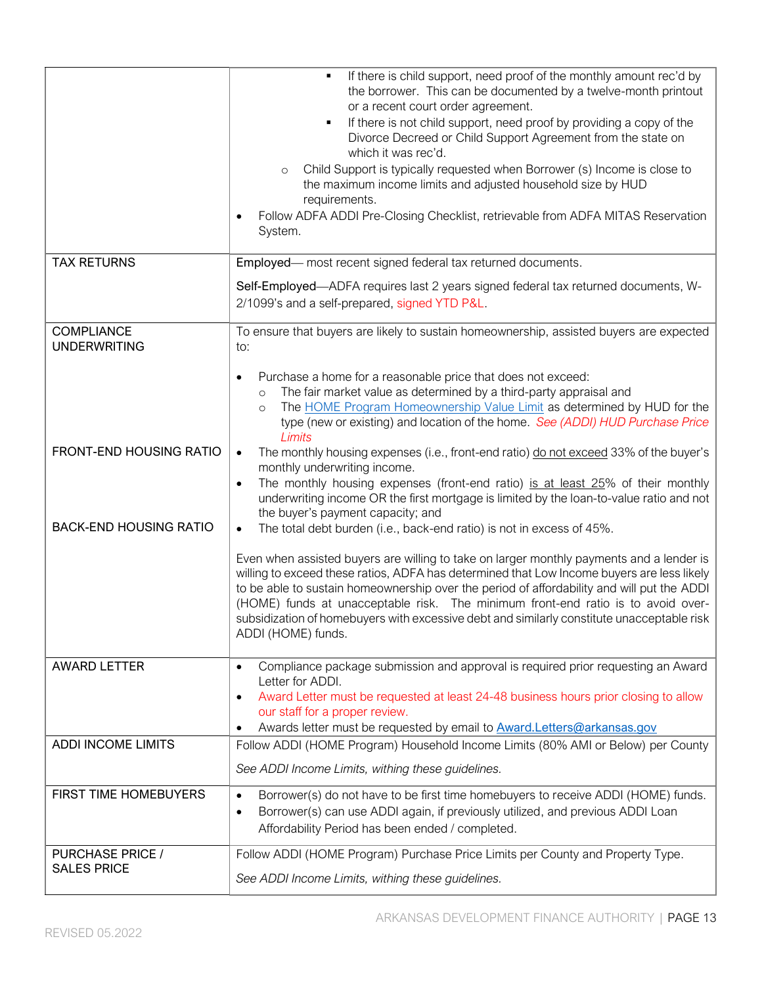|                                               | If there is child support, need proof of the monthly amount rec'd by<br>$\blacksquare$<br>the borrower. This can be documented by a twelve-month printout<br>or a recent court order agreement.<br>If there is not child support, need proof by providing a copy of the<br>٠<br>Divorce Decreed or Child Support Agreement from the state on<br>which it was rec'd.<br>Child Support is typically requested when Borrower (s) Income is close to<br>$\circ$<br>the maximum income limits and adjusted household size by HUD<br>requirements.<br>Follow ADFA ADDI Pre-Closing Checklist, retrievable from ADFA MITAS Reservation<br>System. |
|-----------------------------------------------|--------------------------------------------------------------------------------------------------------------------------------------------------------------------------------------------------------------------------------------------------------------------------------------------------------------------------------------------------------------------------------------------------------------------------------------------------------------------------------------------------------------------------------------------------------------------------------------------------------------------------------------------|
| <b>TAX RETURNS</b>                            | Employed— most recent signed federal tax returned documents.                                                                                                                                                                                                                                                                                                                                                                                                                                                                                                                                                                               |
|                                               | Self-Employed—ADFA requires last 2 years signed federal tax returned documents, W-<br>2/1099's and a self-prepared, signed YTD P&L.                                                                                                                                                                                                                                                                                                                                                                                                                                                                                                        |
| <b>COMPLIANCE</b><br><b>UNDERWRITING</b>      | To ensure that buyers are likely to sustain homeownership, assisted buyers are expected<br>to:                                                                                                                                                                                                                                                                                                                                                                                                                                                                                                                                             |
|                                               | Purchase a home for a reasonable price that does not exceed:<br>$\bullet$<br>The fair market value as determined by a third-party appraisal and<br>$\circ$<br>The HOME Program Homeownership Value Limit as determined by HUD for the<br>$\circ$<br>type (new or existing) and location of the home. See (ADDI) HUD Purchase Price<br>Limits                                                                                                                                                                                                                                                                                               |
| FRONT-END HOUSING RATIO                       | The monthly housing expenses (i.e., front-end ratio) do not exceed 33% of the buyer's<br>monthly underwriting income.<br>The monthly housing expenses (front-end ratio) is at least 25% of their monthly<br>$\bullet$<br>underwriting income OR the first mortgage is limited by the loan-to-value ratio and not<br>the buyer's payment capacity; and                                                                                                                                                                                                                                                                                      |
| <b>BACK-END HOUSING RATIO</b>                 | The total debt burden (i.e., back-end ratio) is not in excess of 45%.                                                                                                                                                                                                                                                                                                                                                                                                                                                                                                                                                                      |
|                                               | Even when assisted buyers are willing to take on larger monthly payments and a lender is<br>willing to exceed these ratios, ADFA has determined that Low Income buyers are less likely<br>to be able to sustain homeownership over the period of affordability and will put the ADDI<br>(HOME) funds at unacceptable risk. The minimum front-end ratio is to avoid over-<br>subsidization of homebuyers with excessive debt and similarly constitute unacceptable risk<br>ADDI (HOME) funds.                                                                                                                                               |
| <b>AWARD LETTER</b>                           | Compliance package submission and approval is required prior requesting an Award<br>$\bullet$<br>Letter for ADDI.<br>Award Letter must be requested at least 24-48 business hours prior closing to allow<br>$\bullet$<br>our staff for a proper review.<br>Awards letter must be requested by email to <b>Award.Letters@arkansas.gov</b>                                                                                                                                                                                                                                                                                                   |
| <b>ADDI INCOME LIMITS</b>                     | Follow ADDI (HOME Program) Household Income Limits (80% AMI or Below) per County                                                                                                                                                                                                                                                                                                                                                                                                                                                                                                                                                           |
|                                               | See ADDI Income Limits, withing these guidelines.                                                                                                                                                                                                                                                                                                                                                                                                                                                                                                                                                                                          |
| FIRST TIME HOMEBUYERS                         | Borrower(s) do not have to be first time homebuyers to receive ADDI (HOME) funds.<br>$\bullet$<br>Borrower(s) can use ADDI again, if previously utilized, and previous ADDI Loan<br>$\bullet$<br>Affordability Period has been ended / completed.                                                                                                                                                                                                                                                                                                                                                                                          |
| <b>PURCHASE PRICE /</b><br><b>SALES PRICE</b> | Follow ADDI (HOME Program) Purchase Price Limits per County and Property Type.<br>See ADDI Income Limits, withing these guidelines.                                                                                                                                                                                                                                                                                                                                                                                                                                                                                                        |
|                                               |                                                                                                                                                                                                                                                                                                                                                                                                                                                                                                                                                                                                                                            |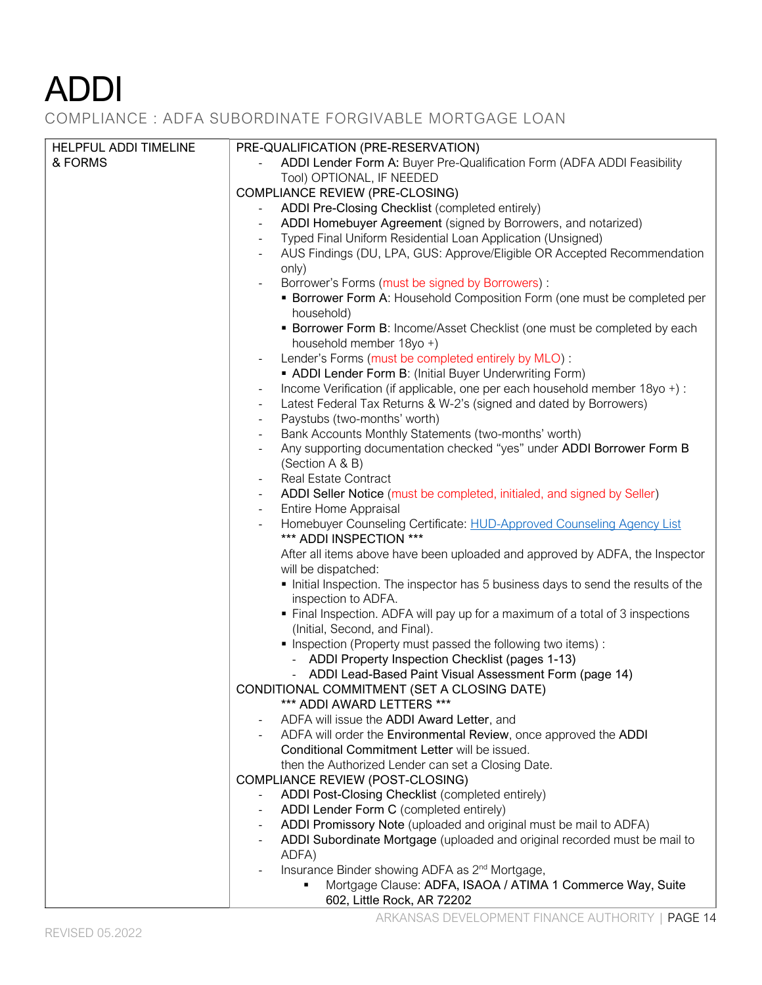COMPLIANCE : ADFA SUBORDINATE FORGIVABLE MORTGAGE LOAN

| PRE-QUALIFICATION (PRE-RESERVATION)<br>HELPFUL ADDI TIMELINE<br>ADDI Lender Form A: Buyer Pre-Qualification Form (ADFA ADDI Feasibility<br>& FORMS<br>Tool) OPTIONAL, IF NEEDED<br><b>COMPLIANCE REVIEW (PRE-CLOSING)</b><br>ADDI Pre-Closing Checklist (completed entirely)<br>ADDI Homebuyer Agreement (signed by Borrowers, and notarized)<br>Typed Final Uniform Residential Loan Application (Unsigned)<br>AUS Findings (DU, LPA, GUS: Approve/Eligible OR Accepted Recommendation<br>only)<br>Borrower's Forms (must be signed by Borrowers): |  |
|-----------------------------------------------------------------------------------------------------------------------------------------------------------------------------------------------------------------------------------------------------------------------------------------------------------------------------------------------------------------------------------------------------------------------------------------------------------------------------------------------------------------------------------------------------|--|
|                                                                                                                                                                                                                                                                                                                                                                                                                                                                                                                                                     |  |
|                                                                                                                                                                                                                                                                                                                                                                                                                                                                                                                                                     |  |
|                                                                                                                                                                                                                                                                                                                                                                                                                                                                                                                                                     |  |
|                                                                                                                                                                                                                                                                                                                                                                                                                                                                                                                                                     |  |
|                                                                                                                                                                                                                                                                                                                                                                                                                                                                                                                                                     |  |
|                                                                                                                                                                                                                                                                                                                                                                                                                                                                                                                                                     |  |
|                                                                                                                                                                                                                                                                                                                                                                                                                                                                                                                                                     |  |
|                                                                                                                                                                                                                                                                                                                                                                                                                                                                                                                                                     |  |
|                                                                                                                                                                                                                                                                                                                                                                                                                                                                                                                                                     |  |
|                                                                                                                                                                                                                                                                                                                                                                                                                                                                                                                                                     |  |
| • Borrower Form A: Household Composition Form (one must be completed per                                                                                                                                                                                                                                                                                                                                                                                                                                                                            |  |
|                                                                                                                                                                                                                                                                                                                                                                                                                                                                                                                                                     |  |
| household)                                                                                                                                                                                                                                                                                                                                                                                                                                                                                                                                          |  |
| • Borrower Form B: Income/Asset Checklist (one must be completed by each                                                                                                                                                                                                                                                                                                                                                                                                                                                                            |  |
| household member 18yo +)                                                                                                                                                                                                                                                                                                                                                                                                                                                                                                                            |  |
| Lender's Forms (must be completed entirely by MLO):<br>$\overline{\phantom{a}}$                                                                                                                                                                                                                                                                                                                                                                                                                                                                     |  |
| • ADDI Lender Form B: (Initial Buyer Underwriting Form)                                                                                                                                                                                                                                                                                                                                                                                                                                                                                             |  |
| Income Verification (if applicable, one per each household member 18yo +) :<br>$\overline{\phantom{a}}$                                                                                                                                                                                                                                                                                                                                                                                                                                             |  |
| Latest Federal Tax Returns & W-2's (signed and dated by Borrowers)<br>$\overline{\phantom{a}}$                                                                                                                                                                                                                                                                                                                                                                                                                                                      |  |
| Paystubs (two-months' worth)<br>$\overline{\phantom{a}}$                                                                                                                                                                                                                                                                                                                                                                                                                                                                                            |  |
| Bank Accounts Monthly Statements (two-months' worth)<br>$\overline{\phantom{a}}$                                                                                                                                                                                                                                                                                                                                                                                                                                                                    |  |
| Any supporting documentation checked "yes" under ADDI Borrower Form B<br>$\overline{\phantom{a}}$                                                                                                                                                                                                                                                                                                                                                                                                                                                   |  |
| (Section A & B)                                                                                                                                                                                                                                                                                                                                                                                                                                                                                                                                     |  |
| Real Estate Contract<br>$\overline{\phantom{a}}$                                                                                                                                                                                                                                                                                                                                                                                                                                                                                                    |  |
| ADDI Seller Notice (must be completed, initialed, and signed by Seller)<br>$\overline{\phantom{a}}$                                                                                                                                                                                                                                                                                                                                                                                                                                                 |  |
| Entire Home Appraisal<br>$\overline{\phantom{a}}$                                                                                                                                                                                                                                                                                                                                                                                                                                                                                                   |  |
| Homebuyer Counseling Certificate: HUD-Approved Counseling Agency List<br>$\overline{\phantom{a}}$                                                                                                                                                                                                                                                                                                                                                                                                                                                   |  |
| *** ADDI INSPECTION ***                                                                                                                                                                                                                                                                                                                                                                                                                                                                                                                             |  |
| After all items above have been uploaded and approved by ADFA, the Inspector                                                                                                                                                                                                                                                                                                                                                                                                                                                                        |  |
| will be dispatched:                                                                                                                                                                                                                                                                                                                                                                                                                                                                                                                                 |  |
| Initial Inspection. The inspector has 5 business days to send the results of the                                                                                                                                                                                                                                                                                                                                                                                                                                                                    |  |
| inspection to ADFA.                                                                                                                                                                                                                                                                                                                                                                                                                                                                                                                                 |  |
|                                                                                                                                                                                                                                                                                                                                                                                                                                                                                                                                                     |  |
| • Final Inspection. ADFA will pay up for a maximum of a total of 3 inspections                                                                                                                                                                                                                                                                                                                                                                                                                                                                      |  |
| (Initial, Second, and Final).                                                                                                                                                                                                                                                                                                                                                                                                                                                                                                                       |  |
| . Inspection (Property must passed the following two items):                                                                                                                                                                                                                                                                                                                                                                                                                                                                                        |  |
| - ADDI Property Inspection Checklist (pages 1-13)                                                                                                                                                                                                                                                                                                                                                                                                                                                                                                   |  |
| - ADDI Lead-Based Paint Visual Assessment Form (page 14)                                                                                                                                                                                                                                                                                                                                                                                                                                                                                            |  |
| CONDITIONAL COMMITMENT (SET A CLOSING DATE)                                                                                                                                                                                                                                                                                                                                                                                                                                                                                                         |  |
| *** ADDI AWARD LETTERS ***                                                                                                                                                                                                                                                                                                                                                                                                                                                                                                                          |  |
| ADFA will issue the ADDI Award Letter, and                                                                                                                                                                                                                                                                                                                                                                                                                                                                                                          |  |
| ADFA will order the Environmental Review, once approved the ADDI                                                                                                                                                                                                                                                                                                                                                                                                                                                                                    |  |
| Conditional Commitment Letter will be issued.                                                                                                                                                                                                                                                                                                                                                                                                                                                                                                       |  |
| then the Authorized Lender can set a Closing Date.                                                                                                                                                                                                                                                                                                                                                                                                                                                                                                  |  |
| COMPLIANCE REVIEW (POST-CLOSING)                                                                                                                                                                                                                                                                                                                                                                                                                                                                                                                    |  |
| ADDI Post-Closing Checklist (completed entirely)                                                                                                                                                                                                                                                                                                                                                                                                                                                                                                    |  |
| ADDI Lender Form C (completed entirely)                                                                                                                                                                                                                                                                                                                                                                                                                                                                                                             |  |
| ADDI Promissory Note (uploaded and original must be mail to ADFA)                                                                                                                                                                                                                                                                                                                                                                                                                                                                                   |  |
| ADDI Subordinate Mortgage (uploaded and original recorded must be mail to                                                                                                                                                                                                                                                                                                                                                                                                                                                                           |  |
|                                                                                                                                                                                                                                                                                                                                                                                                                                                                                                                                                     |  |
|                                                                                                                                                                                                                                                                                                                                                                                                                                                                                                                                                     |  |
| ADFA)                                                                                                                                                                                                                                                                                                                                                                                                                                                                                                                                               |  |
| Insurance Binder showing ADFA as 2 <sup>nd</sup> Mortgage,<br>Mortgage Clause: ADFA, ISAOA / ATIMA 1 Commerce Way, Suite<br>٠                                                                                                                                                                                                                                                                                                                                                                                                                       |  |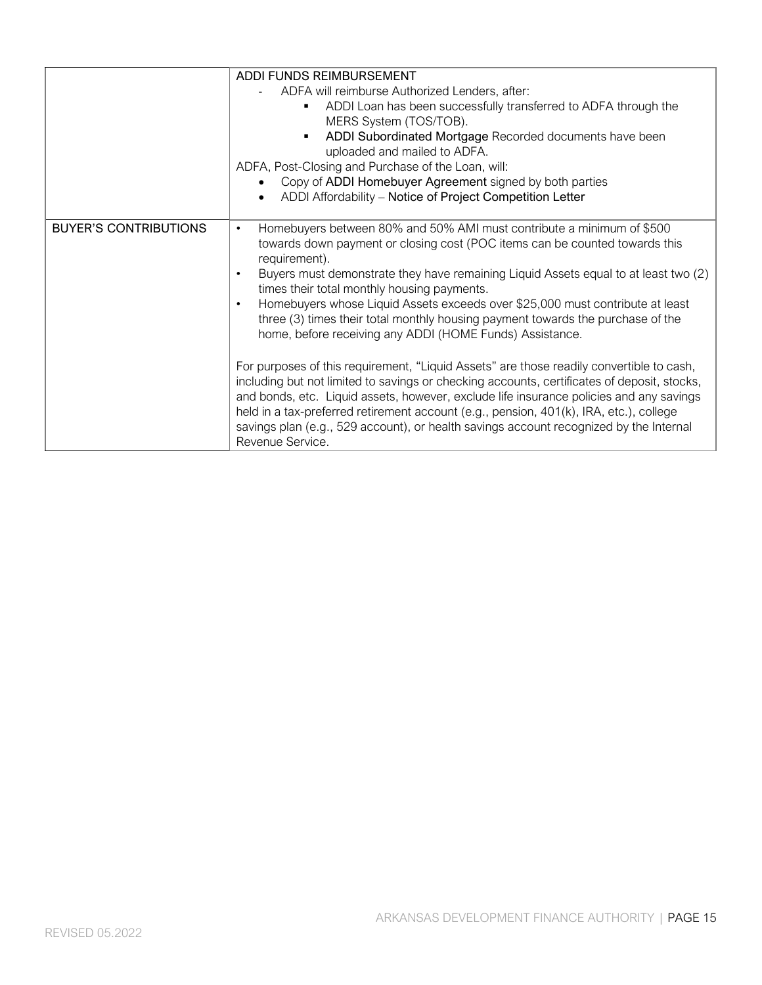|                              | ADDI FUNDS REIMBURSEMENT<br>ADFA will reimburse Authorized Lenders, after:<br>ADDI Loan has been successfully transferred to ADFA through the<br>MERS System (TOS/TOB).<br>ADDI Subordinated Mortgage Recorded documents have been<br>uploaded and mailed to ADFA.<br>ADFA, Post-Closing and Purchase of the Loan, will:<br>Copy of ADDI Homebuyer Agreement signed by both parties                                                                                                        |
|------------------------------|--------------------------------------------------------------------------------------------------------------------------------------------------------------------------------------------------------------------------------------------------------------------------------------------------------------------------------------------------------------------------------------------------------------------------------------------------------------------------------------------|
| <b>BUYER'S CONTRIBUTIONS</b> | ADDI Affordability - Notice of Project Competition Letter<br>Homebuyers between 80% and 50% AMI must contribute a minimum of \$500<br>$\bullet$                                                                                                                                                                                                                                                                                                                                            |
|                              | towards down payment or closing cost (POC items can be counted towards this<br>requirement).<br>Buyers must demonstrate they have remaining Liquid Assets equal to at least two (2)<br>$\bullet$<br>times their total monthly housing payments.<br>Homebuyers whose Liquid Assets exceeds over \$25,000 must contribute at least<br>three (3) times their total monthly housing payment towards the purchase of the<br>home, before receiving any ADDI (HOME Funds) Assistance.            |
|                              | For purposes of this requirement, "Liquid Assets" are those readily convertible to cash,<br>including but not limited to savings or checking accounts, certificates of deposit, stocks,<br>and bonds, etc. Liquid assets, however, exclude life insurance policies and any savings<br>held in a tax-preferred retirement account (e.g., pension, 401(k), IRA, etc.), college<br>savings plan (e.g., 529 account), or health savings account recognized by the Internal<br>Revenue Service. |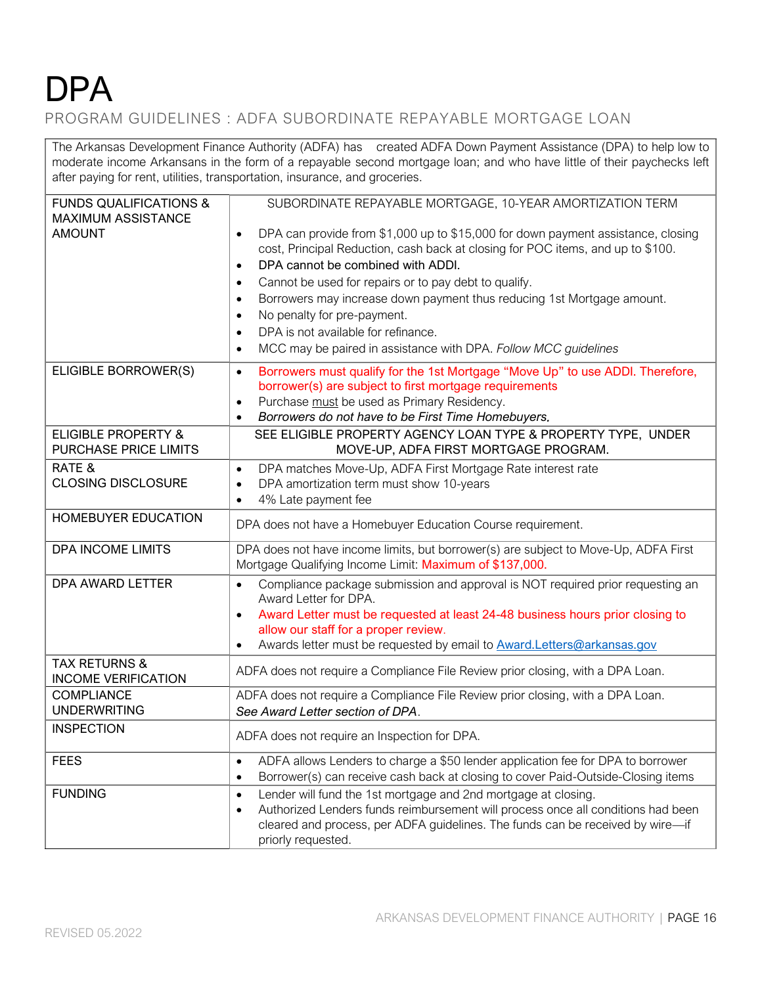# **DPA**

PROGRAM GUIDELINES : ADFA SUBORDINATE REPAYABLE MORTGAGE LOAN

The Arkansas Development Finance Authority (ADFA) has created ADFA Down Payment Assistance (DPA) to help low to moderate income Arkansans in the form of a repayable second mortgage loan; and who have little of their paychecks left after paying for rent, utilities, transportation, insurance, and groceries.

| <b>FUNDS QUALIFICATIONS &amp;</b><br><b>MAXIMUM ASSISTANCE</b> | SUBORDINATE REPAYABLE MORTGAGE, 10-YEAR AMORTIZATION TERM                                                                                                                                                                                                                                                                                                                                                                                                                                                                                                                       |
|----------------------------------------------------------------|---------------------------------------------------------------------------------------------------------------------------------------------------------------------------------------------------------------------------------------------------------------------------------------------------------------------------------------------------------------------------------------------------------------------------------------------------------------------------------------------------------------------------------------------------------------------------------|
| <b>AMOUNT</b>                                                  | DPA can provide from \$1,000 up to \$15,000 for down payment assistance, closing<br>$\bullet$<br>cost, Principal Reduction, cash back at closing for POC items, and up to \$100.<br>DPA cannot be combined with ADDI.<br>$\bullet$<br>Cannot be used for repairs or to pay debt to qualify.<br>$\bullet$<br>Borrowers may increase down payment thus reducing 1st Mortgage amount.<br>$\bullet$<br>No penalty for pre-payment.<br>$\bullet$<br>DPA is not available for refinance.<br>$\bullet$<br>MCC may be paired in assistance with DPA. Follow MCC guidelines<br>$\bullet$ |
| ELIGIBLE BORROWER(S)                                           | Borrowers must qualify for the 1st Mortgage "Move Up" to use ADDI. Therefore,<br>$\bullet$<br>borrower(s) are subject to first mortgage requirements<br>Purchase must be used as Primary Residency.<br>$\bullet$<br>Borrowers do not have to be First Time Homebuyers.<br>$\bullet$                                                                                                                                                                                                                                                                                             |
| <b>ELIGIBLE PROPERTY &amp;</b><br><b>PURCHASE PRICE LIMITS</b> | SEE ELIGIBLE PROPERTY AGENCY LOAN TYPE & PROPERTY TYPE, UNDER<br>MOVE-UP, ADFA FIRST MORTGAGE PROGRAM.                                                                                                                                                                                                                                                                                                                                                                                                                                                                          |
| RATE &<br><b>CLOSING DISCLOSURE</b>                            | DPA matches Move-Up, ADFA First Mortgage Rate interest rate<br>$\bullet$<br>DPA amortization term must show 10-years<br>$\bullet$<br>4% Late payment fee<br>$\bullet$                                                                                                                                                                                                                                                                                                                                                                                                           |
| <b>HOMEBUYER EDUCATION</b>                                     | DPA does not have a Homebuyer Education Course requirement.                                                                                                                                                                                                                                                                                                                                                                                                                                                                                                                     |
| DPA INCOME LIMITS                                              | DPA does not have income limits, but borrower(s) are subject to Move-Up, ADFA First<br>Mortgage Qualifying Income Limit: Maximum of \$137,000.                                                                                                                                                                                                                                                                                                                                                                                                                                  |
| DPA AWARD LETTER                                               | Compliance package submission and approval is NOT required prior requesting an<br>$\bullet$<br>Award Letter for DPA.<br>Award Letter must be requested at least 24-48 business hours prior closing to<br>$\bullet$<br>allow our staff for a proper review.<br>Awards letter must be requested by email to <b>Award.Letters@arkansas.gov</b>                                                                                                                                                                                                                                     |
| <b>TAX RETURNS &amp;</b><br><b>INCOME VERIFICATION</b>         | ADFA does not require a Compliance File Review prior closing, with a DPA Loan.                                                                                                                                                                                                                                                                                                                                                                                                                                                                                                  |
| <b>COMPLIANCE</b><br><b>UNDERWRITING</b>                       | ADFA does not require a Compliance File Review prior closing, with a DPA Loan.<br>See Award Letter section of DPA.                                                                                                                                                                                                                                                                                                                                                                                                                                                              |
| <b>INSPECTION</b>                                              | ADFA does not require an Inspection for DPA.                                                                                                                                                                                                                                                                                                                                                                                                                                                                                                                                    |
| <b>FEES</b>                                                    | ADFA allows Lenders to charge a \$50 lender application fee for DPA to borrower<br>$\bullet$<br>Borrower(s) can receive cash back at closing to cover Paid-Outside-Closing items<br>$\bullet$                                                                                                                                                                                                                                                                                                                                                                                   |
| <b>FUNDING</b>                                                 | Lender will fund the 1st mortgage and 2nd mortgage at closing.<br>$\bullet$<br>Authorized Lenders funds reimbursement will process once all conditions had been<br>$\bullet$<br>cleared and process, per ADFA guidelines. The funds can be received by wire-if<br>priorly requested.                                                                                                                                                                                                                                                                                            |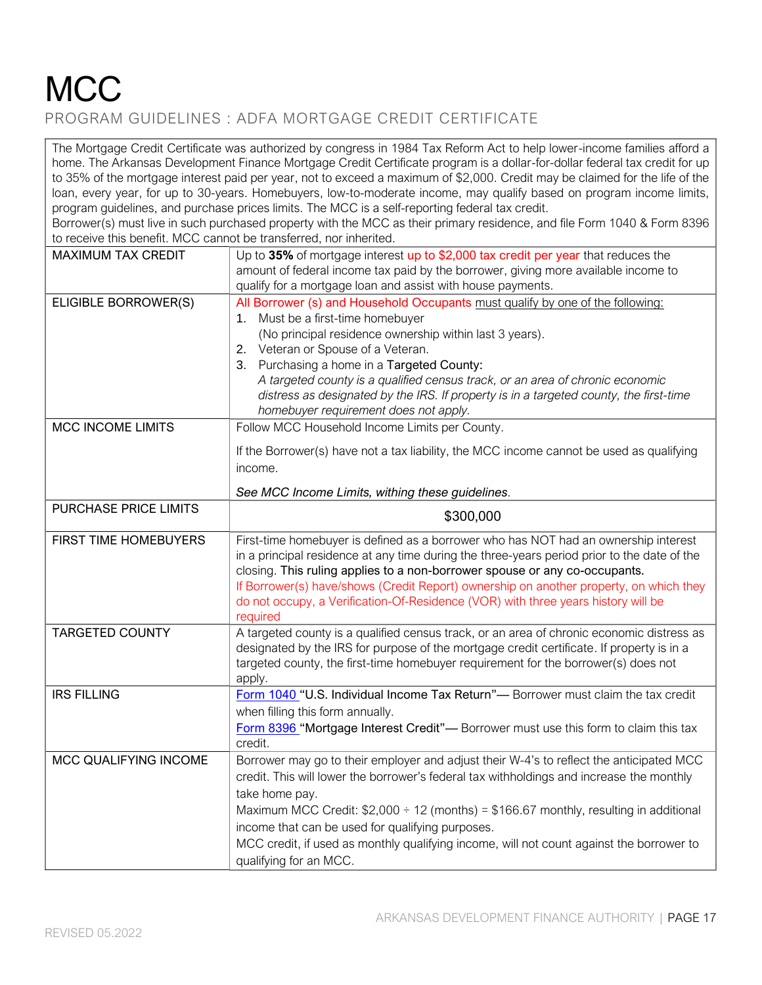### **MCC** PROGRAM GUIDELINES : ADFA MORTGAGE CREDIT CERTIFICATE

The Mortgage Credit Certificate was authorized by congress in 1984 Tax Reform Act to help lower-income families afford a home. The Arkansas Development Finance Mortgage Credit Certificate program is a dollar-for-dollar federal tax credit for up to 35% of the mortgage interest paid per year, not to exceed a maximum of \$2,000. Credit may be claimed for the life of the loan, every year, for up to 30-years. Homebuyers, low-to-moderate income, may qualify based on program income limits, program guidelines, and purchase prices limits. The MCC is a self-reporting federal tax credit.

Borrower(s) must live in such purchased property with the MCC as their primary residence, and file Form 1040 & Form 8396 to receive this benefit. MCC cannot be transferred, nor inherited.

| <b>MAXIMUM TAX CREDIT</b> | Up to 35% of mortgage interest up to \$2,000 tax credit per year that reduces the<br>amount of federal income tax paid by the borrower, giving more available income to<br>qualify for a mortgage loan and assist with house payments.                                                                                                                                                                                                                                                 |
|---------------------------|----------------------------------------------------------------------------------------------------------------------------------------------------------------------------------------------------------------------------------------------------------------------------------------------------------------------------------------------------------------------------------------------------------------------------------------------------------------------------------------|
| ELIGIBLE BORROWER(S)      | All Borrower (s) and Household Occupants must qualify by one of the following:<br>1. Must be a first-time homebuyer<br>(No principal residence ownership within last 3 years).<br>2. Veteran or Spouse of a Veteran.<br>3. Purchasing a home in a Targeted County:<br>A targeted county is a qualified census track, or an area of chronic economic<br>distress as designated by the IRS. If property is in a targeted county, the first-time<br>homebuyer requirement does not apply. |
| <b>MCC INCOME LIMITS</b>  | Follow MCC Household Income Limits per County.<br>If the Borrower(s) have not a tax liability, the MCC income cannot be used as qualifying<br>income.                                                                                                                                                                                                                                                                                                                                  |
| PURCHASE PRICE LIMITS     | See MCC Income Limits, withing these guidelines.                                                                                                                                                                                                                                                                                                                                                                                                                                       |
|                           | \$300,000                                                                                                                                                                                                                                                                                                                                                                                                                                                                              |
| FIRST TIME HOMEBUYERS     | First-time homebuyer is defined as a borrower who has NOT had an ownership interest<br>in a principal residence at any time during the three-years period prior to the date of the<br>closing. This ruling applies to a non-borrower spouse or any co-occupants.<br>If Borrower(s) have/shows (Credit Report) ownership on another property, on which they<br>do not occupy, a Verification-Of-Residence (VOR) with three years history will be<br>required                            |
| <b>TARGETED COUNTY</b>    | A targeted county is a qualified census track, or an area of chronic economic distress as<br>designated by the IRS for purpose of the mortgage credit certificate. If property is in a<br>targeted county, the first-time homebuyer requirement for the borrower(s) does not<br>apply.                                                                                                                                                                                                 |
| <b>IRS FILLING</b>        | Form 1040 "U.S. Individual Income Tax Return"— Borrower must claim the tax credit<br>when filling this form annually.<br>Form 8396 "Mortgage Interest Credit"- Borrower must use this form to claim this tax<br>credit.                                                                                                                                                                                                                                                                |
| MCC QUALIFYING INCOME     | Borrower may go to their employer and adjust their W-4's to reflect the anticipated MCC<br>credit. This will lower the borrower's federal tax withholdings and increase the monthly<br>take home pay.<br>Maximum MCC Credit: $$2,000 \div 12$ (months) = \$166.67 monthly, resulting in additional<br>income that can be used for qualifying purposes.<br>MCC credit, if used as monthly qualifying income, will not count against the borrower to<br>qualifying for an MCC.           |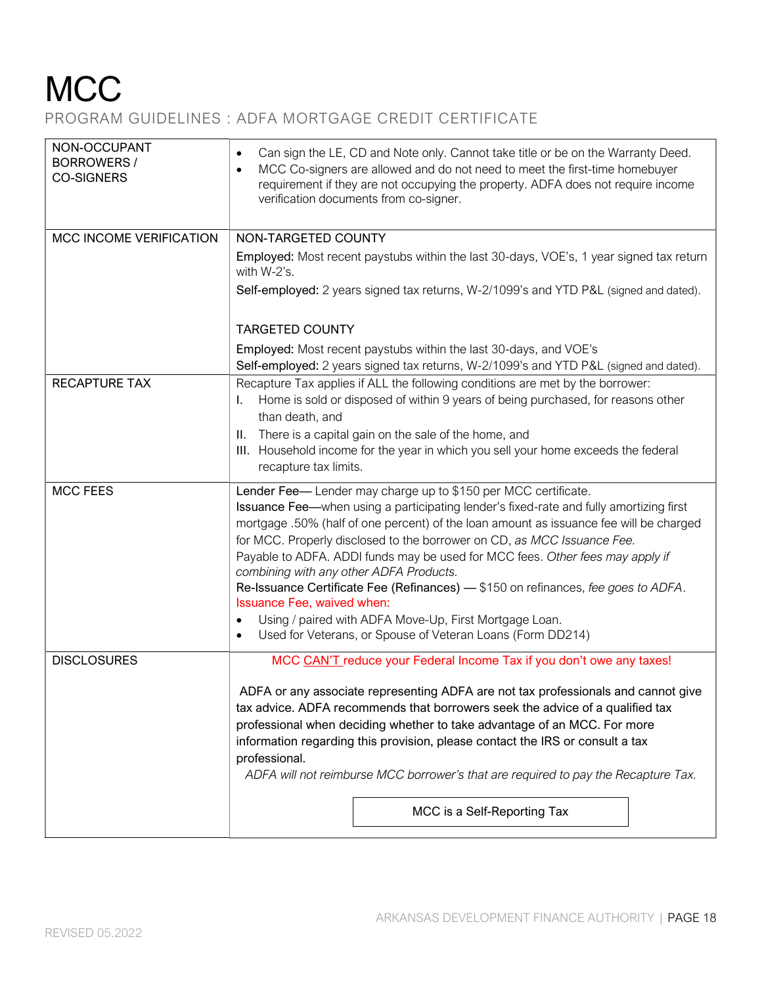## **MCC**

#### PROGRAM GUIDELINES : ADFA MORTGAGE CREDIT CERTIFICATE

| NON-OCCUPANT<br><b>BORROWERS /</b><br><b>CO-SIGNERS</b> | Can sign the LE, CD and Note only. Cannot take title or be on the Warranty Deed.<br>$\bullet$<br>MCC Co-signers are allowed and do not need to meet the first-time homebuyer<br>$\bullet$<br>requirement if they are not occupying the property. ADFA does not require income<br>verification documents from co-signer.                                                                                                                                                                                                                                                                                                                                                                                                       |  |  |  |
|---------------------------------------------------------|-------------------------------------------------------------------------------------------------------------------------------------------------------------------------------------------------------------------------------------------------------------------------------------------------------------------------------------------------------------------------------------------------------------------------------------------------------------------------------------------------------------------------------------------------------------------------------------------------------------------------------------------------------------------------------------------------------------------------------|--|--|--|
| MCC INCOME VERIFICATION                                 | NON-TARGETED COUNTY                                                                                                                                                                                                                                                                                                                                                                                                                                                                                                                                                                                                                                                                                                           |  |  |  |
|                                                         | Employed: Most recent paystubs within the last 30-days, VOE's, 1 year signed tax return<br>with W-2's.                                                                                                                                                                                                                                                                                                                                                                                                                                                                                                                                                                                                                        |  |  |  |
|                                                         | Self-employed: 2 years signed tax returns, W-2/1099's and YTD P&L (signed and dated).                                                                                                                                                                                                                                                                                                                                                                                                                                                                                                                                                                                                                                         |  |  |  |
|                                                         | <b>TARGETED COUNTY</b>                                                                                                                                                                                                                                                                                                                                                                                                                                                                                                                                                                                                                                                                                                        |  |  |  |
|                                                         | Employed: Most recent paystubs within the last 30-days, and VOE's<br>Self-employed: 2 years signed tax returns, W-2/1099's and YTD P&L (signed and dated).                                                                                                                                                                                                                                                                                                                                                                                                                                                                                                                                                                    |  |  |  |
| <b>RECAPTURE TAX</b>                                    | Recapture Tax applies if ALL the following conditions are met by the borrower:                                                                                                                                                                                                                                                                                                                                                                                                                                                                                                                                                                                                                                                |  |  |  |
|                                                         | Home is sold or disposed of within 9 years of being purchased, for reasons other<br>I.<br>than death, and                                                                                                                                                                                                                                                                                                                                                                                                                                                                                                                                                                                                                     |  |  |  |
|                                                         | II. There is a capital gain on the sale of the home, and                                                                                                                                                                                                                                                                                                                                                                                                                                                                                                                                                                                                                                                                      |  |  |  |
|                                                         | III. Household income for the year in which you sell your home exceeds the federal<br>recapture tax limits.                                                                                                                                                                                                                                                                                                                                                                                                                                                                                                                                                                                                                   |  |  |  |
| <b>MCC FEES</b>                                         | Lender Fee-Lender may charge up to \$150 per MCC certificate.<br>Issuance Fee-when using a participating lender's fixed-rate and fully amortizing first<br>mortgage .50% (half of one percent) of the loan amount as issuance fee will be charged<br>for MCC. Properly disclosed to the borrower on CD, as MCC Issuance Fee.<br>Payable to ADFA. ADDI funds may be used for MCC fees. Other fees may apply if<br>combining with any other ADFA Products.<br>Re-Issuance Certificate Fee (Refinances) - \$150 on refinances, fee goes to ADFA.<br>Issuance Fee, waived when:<br>Using / paired with ADFA Move-Up, First Mortgage Loan.<br>$\bullet$<br>Used for Veterans, or Spouse of Veteran Loans (Form DD214)<br>$\bullet$ |  |  |  |
| <b>DISCLOSURES</b>                                      | MCC CAN'T reduce your Federal Income Tax if you don't owe any taxes!                                                                                                                                                                                                                                                                                                                                                                                                                                                                                                                                                                                                                                                          |  |  |  |
|                                                         | ADFA or any associate representing ADFA are not tax professionals and cannot give<br>tax advice. ADFA recommends that borrowers seek the advice of a qualified tax<br>professional when deciding whether to take advantage of an MCC. For more<br>information regarding this provision, please contact the IRS or consult a tax<br>professional.<br>ADFA will not reimburse MCC borrower's that are required to pay the Recapture Tax.                                                                                                                                                                                                                                                                                        |  |  |  |
|                                                         | MCC is a Self-Reporting Tax                                                                                                                                                                                                                                                                                                                                                                                                                                                                                                                                                                                                                                                                                                   |  |  |  |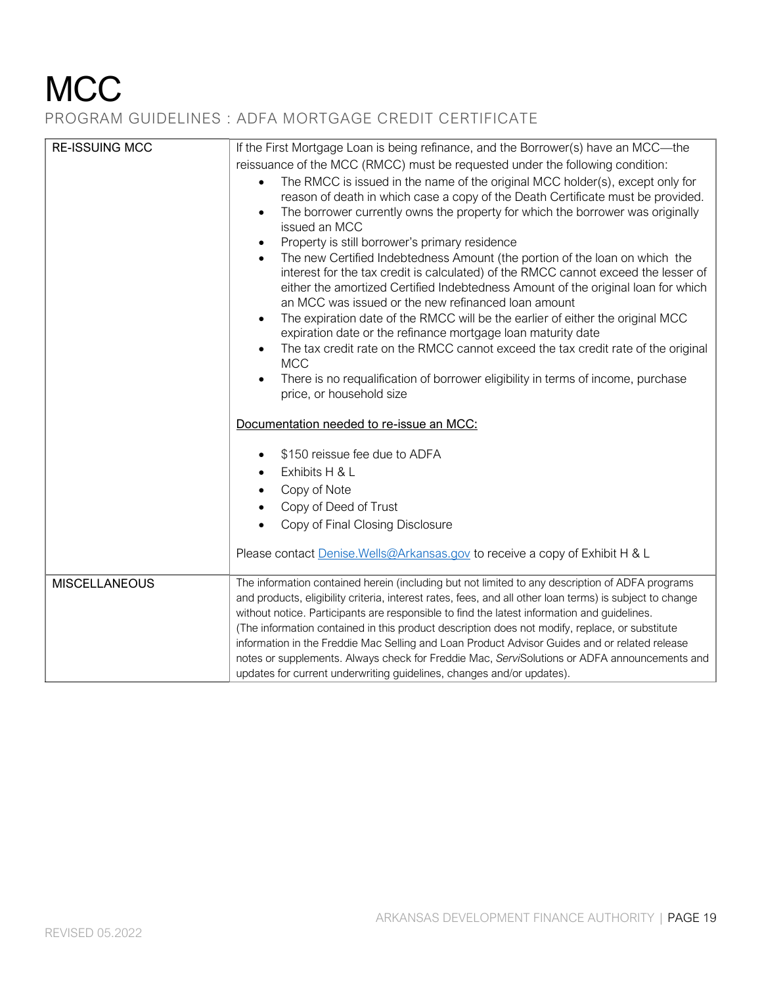## **MCC**

#### PROGRAM GUIDELINES : ADFA MORTGAGE CREDIT CERTIFICATE

| <b>RE-ISSUING MCC</b> | If the First Mortgage Loan is being refinance, and the Borrower(s) have an MCC-the<br>reissuance of the MCC (RMCC) must be requested under the following condition:<br>The RMCC is issued in the name of the original MCC holder(s), except only for<br>$\bullet$<br>reason of death in which case a copy of the Death Certificate must be provided.<br>The borrower currently owns the property for which the borrower was originally<br>issued an MCC<br>Property is still borrower's primary residence<br>The new Certified Indebtedness Amount (the portion of the loan on which the<br>interest for the tax credit is calculated) of the RMCC cannot exceed the lesser of<br>either the amortized Certified Indebtedness Amount of the original loan for which<br>an MCC was issued or the new refinanced loan amount<br>The expiration date of the RMCC will be the earlier of either the original MCC<br>expiration date or the refinance mortgage loan maturity date<br>The tax credit rate on the RMCC cannot exceed the tax credit rate of the original<br><b>MCC</b><br>There is no requalification of borrower eligibility in terms of income, purchase<br>price, or household size |
|-----------------------|-------------------------------------------------------------------------------------------------------------------------------------------------------------------------------------------------------------------------------------------------------------------------------------------------------------------------------------------------------------------------------------------------------------------------------------------------------------------------------------------------------------------------------------------------------------------------------------------------------------------------------------------------------------------------------------------------------------------------------------------------------------------------------------------------------------------------------------------------------------------------------------------------------------------------------------------------------------------------------------------------------------------------------------------------------------------------------------------------------------------------------------------------------------------------------------------------|
|                       | Documentation needed to re-issue an MCC:                                                                                                                                                                                                                                                                                                                                                                                                                                                                                                                                                                                                                                                                                                                                                                                                                                                                                                                                                                                                                                                                                                                                                        |
|                       | \$150 reissue fee due to ADFA<br>Exhibits H & L<br>Copy of Note<br>Copy of Deed of Trust<br>Copy of Final Closing Disclosure                                                                                                                                                                                                                                                                                                                                                                                                                                                                                                                                                                                                                                                                                                                                                                                                                                                                                                                                                                                                                                                                    |
|                       | Please contact Denise. Wells@Arkansas.gov to receive a copy of Exhibit H & L                                                                                                                                                                                                                                                                                                                                                                                                                                                                                                                                                                                                                                                                                                                                                                                                                                                                                                                                                                                                                                                                                                                    |
| <b>MISCELLANEOUS</b>  | The information contained herein (including but not limited to any description of ADFA programs<br>and products, eligibility criteria, interest rates, fees, and all other loan terms) is subject to change<br>without notice. Participants are responsible to find the latest information and guidelines.<br>(The information contained in this product description does not modify, replace, or substitute<br>information in the Freddie Mac Selling and Loan Product Advisor Guides and or related release<br>notes or supplements. Always check for Freddie Mac, ServiSolutions or ADFA announcements and<br>updates for current underwriting guidelines, changes and/or updates).                                                                                                                                                                                                                                                                                                                                                                                                                                                                                                          |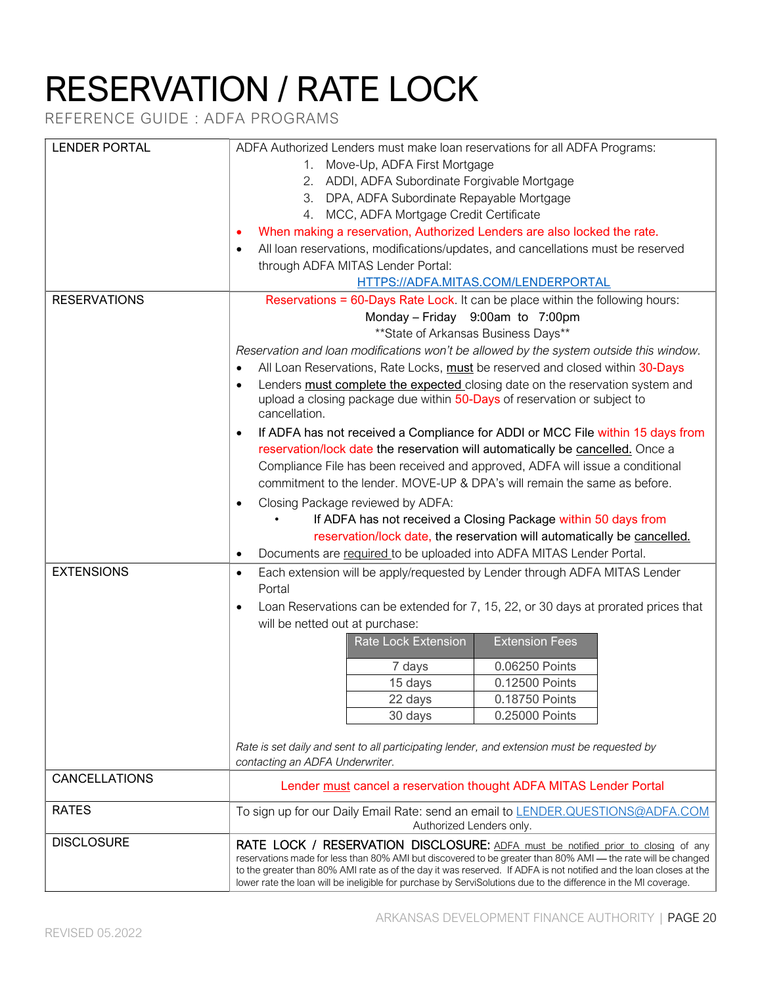# RESERVATION / RATE LOCK

REFERENCE GUIDE : ADFA PROGRAMS

| <b>LENDER PORTAL</b> | ADFA Authorized Lenders must make loan reservations for all ADFA Programs:                                                                                                                                                            |  |  |
|----------------------|---------------------------------------------------------------------------------------------------------------------------------------------------------------------------------------------------------------------------------------|--|--|
|                      | 1. Move-Up, ADFA First Mortgage                                                                                                                                                                                                       |  |  |
|                      | 2. ADDI, ADFA Subordinate Forgivable Mortgage                                                                                                                                                                                         |  |  |
|                      | 3. DPA, ADFA Subordinate Repayable Mortgage                                                                                                                                                                                           |  |  |
|                      | 4. MCC, ADFA Mortgage Credit Certificate                                                                                                                                                                                              |  |  |
|                      | When making a reservation, Authorized Lenders are also locked the rate.                                                                                                                                                               |  |  |
|                      |                                                                                                                                                                                                                                       |  |  |
|                      | All loan reservations, modifications/updates, and cancellations must be reserved<br>$\bullet$                                                                                                                                         |  |  |
|                      | through ADFA MITAS Lender Portal:                                                                                                                                                                                                     |  |  |
|                      | HTTPS://ADFA.MITAS.COM/LENDERPORTAL                                                                                                                                                                                                   |  |  |
| <b>RESERVATIONS</b>  | Reservations = 60-Days Rate Lock. It can be place within the following hours:                                                                                                                                                         |  |  |
|                      | Monday - Friday 9:00am to 7:00pm                                                                                                                                                                                                      |  |  |
|                      | ** State of Arkansas Business Days**                                                                                                                                                                                                  |  |  |
|                      | Reservation and loan modifications won't be allowed by the system outside this window.                                                                                                                                                |  |  |
|                      | All Loan Reservations, Rate Locks, must be reserved and closed within 30-Days                                                                                                                                                         |  |  |
|                      | Lenders must complete the expected closing date on the reservation system and<br>$\bullet$                                                                                                                                            |  |  |
|                      | upload a closing package due within 50-Days of reservation or subject to                                                                                                                                                              |  |  |
|                      | cancellation.                                                                                                                                                                                                                         |  |  |
|                      | If ADFA has not received a Compliance for ADDI or MCC File within 15 days from<br>$\bullet$                                                                                                                                           |  |  |
|                      | reservation/lock date the reservation will automatically be cancelled. Once a                                                                                                                                                         |  |  |
|                      | Compliance File has been received and approved, ADFA will issue a conditional                                                                                                                                                         |  |  |
|                      | commitment to the lender. MOVE-UP & DPA's will remain the same as before.<br>Closing Package reviewed by ADFA:<br>$\bullet$<br>If ADFA has not received a Closing Package within 50 days from                                         |  |  |
|                      |                                                                                                                                                                                                                                       |  |  |
|                      |                                                                                                                                                                                                                                       |  |  |
|                      | reservation/lock date, the reservation will automatically be cancelled.                                                                                                                                                               |  |  |
|                      | Documents are required to be uploaded into ADFA MITAS Lender Portal.<br>$\bullet$                                                                                                                                                     |  |  |
| <b>EXTENSIONS</b>    | Each extension will be apply/requested by Lender through ADFA MITAS Lender<br>$\bullet$                                                                                                                                               |  |  |
|                      | Portal                                                                                                                                                                                                                                |  |  |
|                      | Loan Reservations can be extended for 7, 15, 22, or 30 days at prorated prices that                                                                                                                                                   |  |  |
|                      | will be netted out at purchase:                                                                                                                                                                                                       |  |  |
|                      | <b>Extension Fees</b><br><b>Rate Lock Extension</b>                                                                                                                                                                                   |  |  |
|                      | 0.06250 Points<br>7 days                                                                                                                                                                                                              |  |  |
|                      | 15 days<br>0.12500 Points                                                                                                                                                                                                             |  |  |
|                      | 0.18750 Points<br>22 days                                                                                                                                                                                                             |  |  |
|                      | 30 days<br>0.25000 Points                                                                                                                                                                                                             |  |  |
|                      |                                                                                                                                                                                                                                       |  |  |
|                      | Rate is set daily and sent to all participating lender, and extension must be requested by                                                                                                                                            |  |  |
|                      | contacting an ADFA Underwriter.                                                                                                                                                                                                       |  |  |
| <b>CANCELLATIONS</b> | Lender must cancel a reservation thought ADFA MITAS Lender Portal                                                                                                                                                                     |  |  |
| <b>RATES</b>         | To sign up for our Daily Email Rate: send an email to LENDER.QUESTIONS@ADFA.COM<br>Authorized Lenders only.                                                                                                                           |  |  |
| <b>DISCLOSURE</b>    | RATE LOCK / RESERVATION DISCLOSURE: ADFA must be notified prior to closing of any                                                                                                                                                     |  |  |
|                      | reservations made for less than 80% AMI but discovered to be greater than 80% AMI - the rate will be changed                                                                                                                          |  |  |
|                      | to the greater than 80% AMI rate as of the day it was reserved. If ADFA is not notified and the loan closes at the<br>lower rate the loan will be ineligible for purchase by ServiSolutions due to the difference in the MI coverage. |  |  |
|                      |                                                                                                                                                                                                                                       |  |  |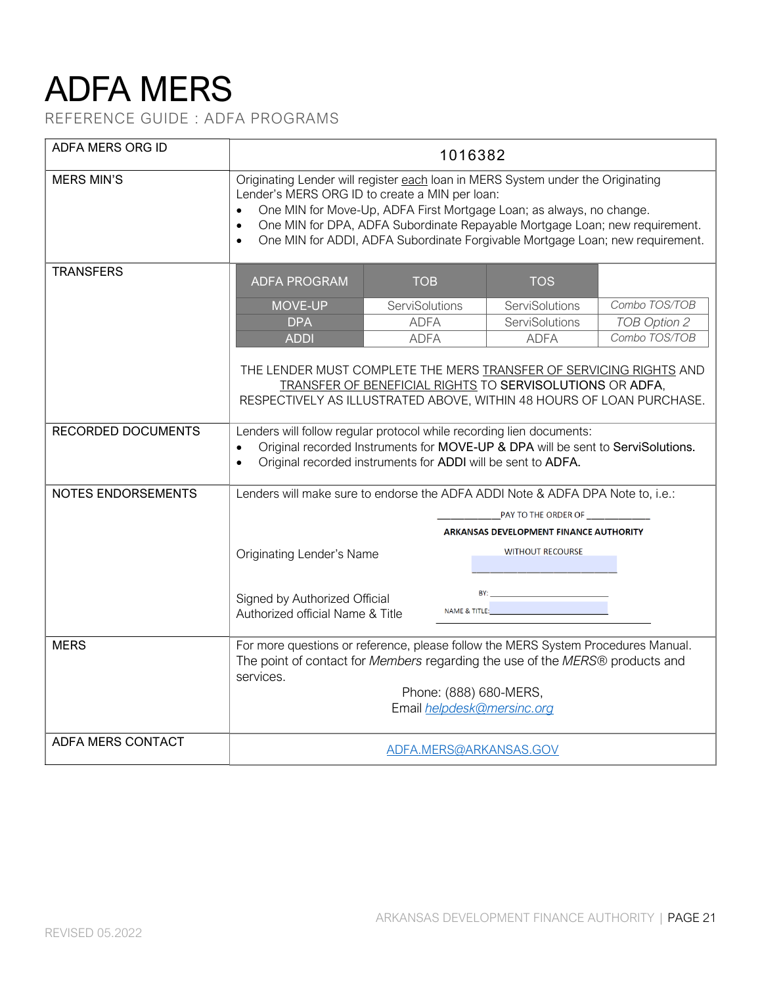# ADFA MERS

REFERENCE GUIDE : ADFA PROGRAMS

| ADFA MERS ORG ID          |                                                                                                                                                                                                                                                                                                                                                                                                     | 1016382        |  |                                                                                                                                                                                                                               |               |
|---------------------------|-----------------------------------------------------------------------------------------------------------------------------------------------------------------------------------------------------------------------------------------------------------------------------------------------------------------------------------------------------------------------------------------------------|----------------|--|-------------------------------------------------------------------------------------------------------------------------------------------------------------------------------------------------------------------------------|---------------|
| <b>MERS MIN'S</b>         | Originating Lender will register each loan in MERS System under the Originating<br>Lender's MERS ORG ID to create a MIN per loan:<br>One MIN for Move-Up, ADFA First Mortgage Loan; as always, no change.<br>One MIN for DPA, ADFA Subordinate Repayable Mortgage Loan; new requirement.<br>$\bullet$<br>One MIN for ADDI, ADFA Subordinate Forgivable Mortgage Loan; new requirement.<br>$\bullet$ |                |  |                                                                                                                                                                                                                               |               |
| <b>TRANSFERS</b>          | <b>ADFA PROGRAM</b><br><b>TOB</b><br><b>TOS</b>                                                                                                                                                                                                                                                                                                                                                     |                |  |                                                                                                                                                                                                                               |               |
|                           | <b>MOVE-UP</b>                                                                                                                                                                                                                                                                                                                                                                                      | ServiSolutions |  | ServiSolutions                                                                                                                                                                                                                | Combo TOS/TOB |
|                           | <b>DPA</b>                                                                                                                                                                                                                                                                                                                                                                                          | <b>ADFA</b>    |  | ServiSolutions                                                                                                                                                                                                                | TOB Option 2  |
|                           | <b>ADDI</b>                                                                                                                                                                                                                                                                                                                                                                                         | <b>ADFA</b>    |  | <b>ADFA</b>                                                                                                                                                                                                                   | Combo TOS/TOB |
| <b>RECORDED DOCUMENTS</b> | THE LENDER MUST COMPLETE THE MERS TRANSFER OF SERVICING RIGHTS AND<br>TRANSFER OF BENEFICIAL RIGHTS TO SERVISOLUTIONS OR ADFA,<br>RESPECTIVELY AS ILLUSTRATED ABOVE, WITHIN 48 HOURS OF LOAN PURCHASE.                                                                                                                                                                                              |                |  |                                                                                                                                                                                                                               |               |
|                           | Lenders will follow regular protocol while recording lien documents:<br>Original recorded Instruments for MOVE-UP & DPA will be sent to ServiSolutions.<br>$\bullet$<br>Original recorded instruments for ADDI will be sent to ADFA.<br>$\bullet$                                                                                                                                                   |                |  |                                                                                                                                                                                                                               |               |
| NOTES ENDORSEMENTS        | Lenders will make sure to endorse the ADFA ADDI Note & ADFA DPA Note to, i.e.:                                                                                                                                                                                                                                                                                                                      |                |  |                                                                                                                                                                                                                               |               |
|                           | PAY TO THE ORDER OF                                                                                                                                                                                                                                                                                                                                                                                 |                |  |                                                                                                                                                                                                                               |               |
|                           | <b>ARKANSAS DEVELOPMENT FINANCE AUTHORITY</b>                                                                                                                                                                                                                                                                                                                                                       |                |  |                                                                                                                                                                                                                               |               |
|                           | <b>WITHOUT RECOURSE</b><br><b>Originating Lender's Name</b>                                                                                                                                                                                                                                                                                                                                         |                |  |                                                                                                                                                                                                                               |               |
|                           | Signed by Authorized Official<br>Authorized official Name & Title                                                                                                                                                                                                                                                                                                                                   |                |  | NAME & TITLE: A CONTROLL AND A CONTROLL OF A CONTROLL OF A CONTROLL OF A CONTROLL OF A CONTROLL OF A CONTROLL OF A CONTROLL OF A CONTROLL OF A CONTROLL OF A CONTROLL OF A CONTROLL OF A CONTROLL OF A CONTROLL OF A CONTROLL |               |
| <b>MERS</b>               | For more questions or reference, please follow the MERS System Procedures Manual.<br>The point of contact for Members regarding the use of the MERS® products and<br>services.                                                                                                                                                                                                                      |                |  |                                                                                                                                                                                                                               |               |
|                           | Phone: (888) 680-MERS,<br>Email helpdesk@mersinc.org                                                                                                                                                                                                                                                                                                                                                |                |  |                                                                                                                                                                                                                               |               |
| <b>ADFA MERS CONTACT</b>  |                                                                                                                                                                                                                                                                                                                                                                                                     |                |  | ADFA.MERS@ARKANSAS.GOV                                                                                                                                                                                                        |               |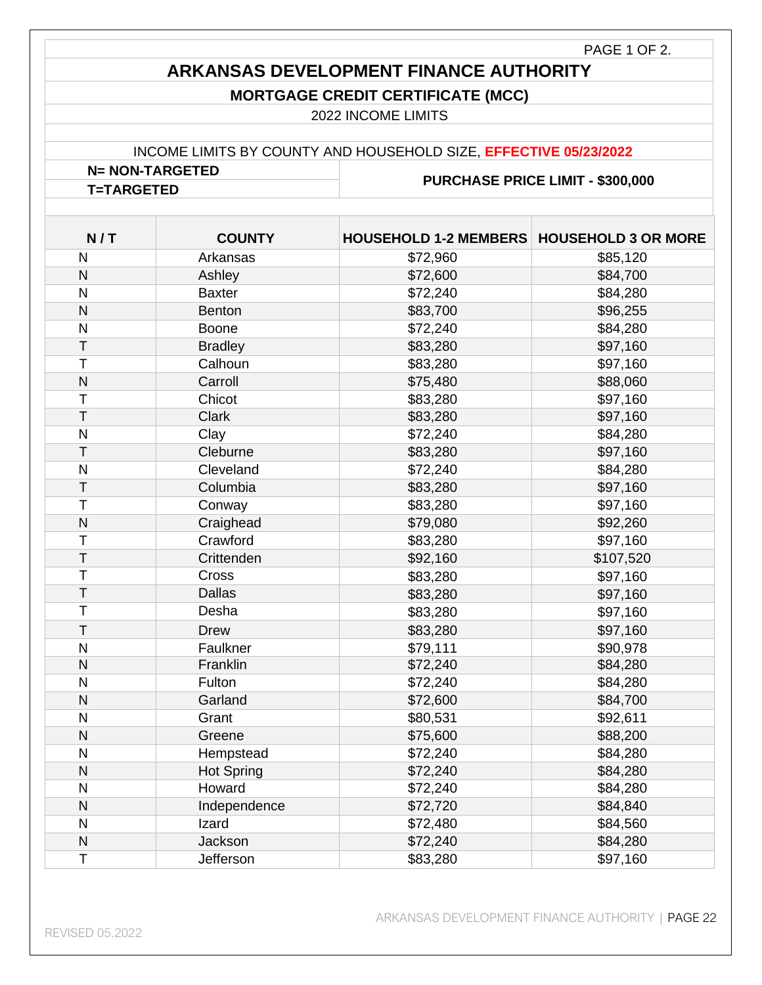#### PAGE 1 OF 2.

### **ARKANSAS DEVELOPMENT FINANCE AUTHORITY**

#### **MORTGAGE CREDIT CERTIFICATE (MCC)**

2022 INCOME LIMITS

#### INCOME LIMITS BY COUNTY AND HOUSEHOLD SIZE, **EFFECTIVE 05/23/2022**

**N= NON-TARGETED PURCHASE PRICE LIMIT - \$300,000 T=TARGETED**

| N/T                     | <b>COUNTY</b>     | HOUSEHOLD 1-2 MEMBERS   HOUSEHOLD 3 OR MORE |           |
|-------------------------|-------------------|---------------------------------------------|-----------|
| $\mathsf{N}$            | Arkansas          | \$72,960                                    | \$85,120  |
| $\mathsf{N}$            | Ashley            | \$72,600                                    | \$84,700  |
| $\overline{\mathsf{N}}$ | <b>Baxter</b>     | \$72,240                                    | \$84,280  |
| $\overline{\mathsf{N}}$ | <b>Benton</b>     | \$83,700                                    | \$96,255  |
| $\overline{\mathsf{N}}$ | Boone             | \$72,240                                    | \$84,280  |
| T                       | <b>Bradley</b>    | \$83,280                                    | \$97,160  |
| $\top$                  | Calhoun           | \$83,280                                    | \$97,160  |
| $\mathsf{N}$            | Carroll           | \$75,480                                    | \$88,060  |
| T                       | Chicot            | \$83,280                                    | \$97,160  |
| T                       | <b>Clark</b>      | \$83,280                                    | \$97,160  |
| $\overline{\mathsf{N}}$ | Clay              | \$72,240                                    | \$84,280  |
| $\mathsf T$             | Cleburne          | \$83,280                                    | \$97,160  |
| $\overline{\mathsf{N}}$ | Cleveland         | \$72,240                                    | \$84,280  |
| $\mathsf T$             | Columbia          | \$83,280                                    | \$97,160  |
| T                       | Conway            | \$83,280                                    | \$97,160  |
| N                       | Craighead         | \$79,080                                    | \$92,260  |
| $\mathsf{T}$            | Crawford          | \$83,280                                    | \$97,160  |
| $\overline{1}$          | Crittenden        | \$92,160                                    | \$107,520 |
| T                       | Cross             | \$83,280                                    | \$97,160  |
| $\overline{T}$          | <b>Dallas</b>     | \$83,280                                    | \$97,160  |
| Τ                       | Desha             | \$83,280                                    | \$97,160  |
| T                       | <b>Drew</b>       | \$83,280                                    | \$97,160  |
| N                       | Faulkner          | \$79,111                                    | \$90,978  |
| $\overline{\mathsf{N}}$ | Franklin          | \$72,240                                    | \$84,280  |
| $\overline{\mathsf{N}}$ | Fulton            | \$72,240                                    | \$84,280  |
| N                       | Garland           | \$72,600                                    | \$84,700  |
| $\mathsf{N}$            | Grant             | \$80,531                                    | \$92,611  |
| $\mathsf{N}$            | Greene            | \$75,600                                    | \$88,200  |
| $\mathsf{N}$            | Hempstead         | \$72,240                                    | \$84,280  |
| N                       | <b>Hot Spring</b> | \$72,240                                    | \$84,280  |
| $\mathsf{N}$            | Howard            | \$72,240                                    | \$84,280  |
| $\overline{\mathsf{N}}$ | Independence      | \$72,720                                    | \$84,840  |
| $\overline{\mathsf{N}}$ | Izard             | \$72,480                                    | \$84,560  |
| $\overline{\mathsf{N}}$ | Jackson           | \$72,240                                    | \$84,280  |
| $\overline{T}$          | Jefferson         | \$83,280                                    | \$97,160  |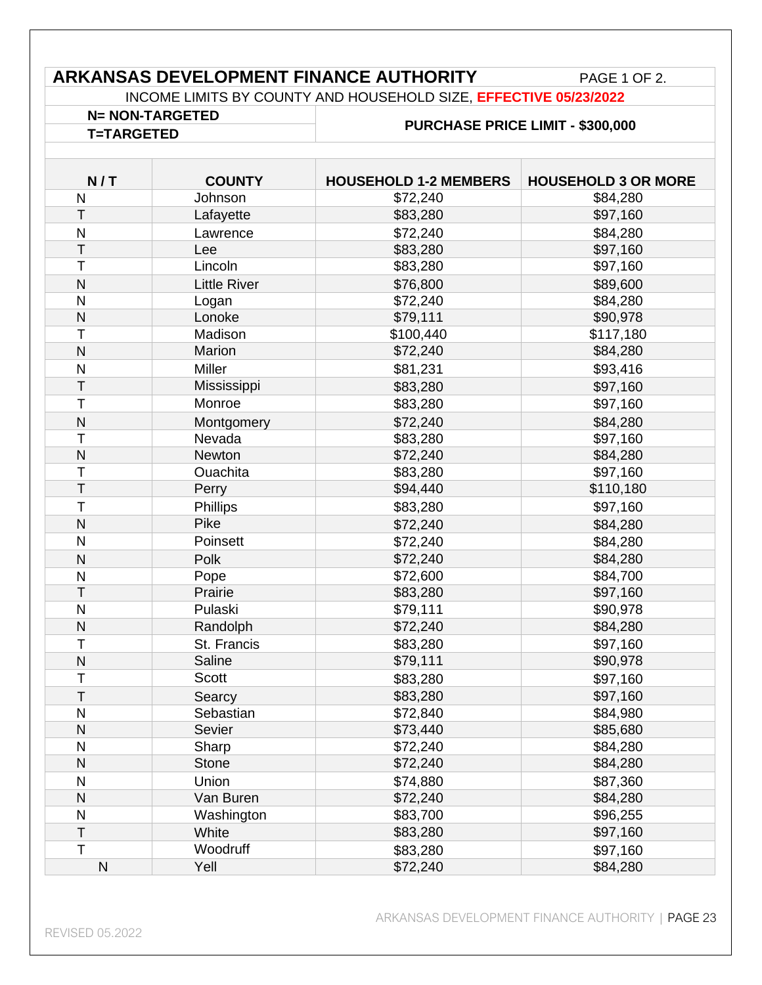### **ARKANSAS DEVELOPMENT FINANCE AUTHORITY** PAGE 1 OF 2.

INCOME LIMITS BY COUNTY AND HOUSEHOLD SIZE, **EFFECTIVE 05/23/2022**

### **N= NON-TARGETED PURCHASE PRICE LIMIT - \$300,000 T=TARGETED**

| N/T          | <b>COUNTY</b>       | <b>HOUSEHOLD 1-2 MEMBERS</b> | <b>HOUSEHOLD 3 OR MORE</b> |
|--------------|---------------------|------------------------------|----------------------------|
| N            | Johnson             | \$72,240                     | \$84,280                   |
| Τ            | Lafayette           | \$83,280                     | \$97,160                   |
| N            | Lawrence            | \$72,240                     | \$84,280                   |
| T            | Lee                 | \$83,280                     | \$97,160                   |
| T            | Lincoln             | \$83,280                     | \$97,160                   |
| N            | <b>Little River</b> | \$76,800                     | \$89,600                   |
| N            | Logan               | \$72,240                     | \$84,280                   |
| N            | Lonoke              | \$79,111                     | \$90,978                   |
| Т            | Madison             | \$100,440                    | \$117,180                  |
| N            | Marion              | \$72,240                     | \$84,280                   |
| $\mathsf{N}$ | Miller              | \$81,231                     | \$93,416                   |
| T            | Mississippi         | \$83,280                     | \$97,160                   |
| T            | Monroe              | \$83,280                     | \$97,160                   |
| N            | Montgomery          | \$72,240                     | \$84,280                   |
| Т            | Nevada              | \$83,280                     | \$97,160                   |
| N            | Newton              | \$72,240                     | \$84,280                   |
| T            | Ouachita            | \$83,280                     | \$97,160                   |
| T            | Perry               | \$94,440                     | \$110,180                  |
| $\top$       | Phillips            | \$83,280                     | \$97,160                   |
| N            | Pike                | \$72,240                     | \$84,280                   |
| $\mathsf{N}$ | Poinsett            | \$72,240                     | \$84,280                   |
| $\mathsf{N}$ | Polk                | \$72,240                     | \$84,280                   |
| N            | Pope                | \$72,600                     | \$84,700                   |
| T            | Prairie             | \$83,280                     | \$97,160                   |
| $\mathsf{N}$ | Pulaski             | \$79,111                     | \$90,978                   |
| N            | Randolph            | \$72,240                     | \$84,280                   |
| Τ            | St. Francis         | \$83,280                     | \$97,160                   |
| N            | Saline              | \$79,111                     | \$90,978                   |
| Τ            | <b>Scott</b>        | \$83,280                     | \$97,160                   |
| T            | Searcy              | \$83,280                     | \$97,160                   |
| N            | Sebastian           | \$72,840                     | \$84,980                   |
| N            | Sevier              | \$73,440                     | \$85,680                   |
| N            | Sharp               | \$72,240                     | \$84,280                   |
| N            | <b>Stone</b>        | \$72,240                     | \$84,280                   |
| ${\sf N}$    | Union               | \$74,880                     | \$87,360                   |
| N            | Van Buren           | \$72,240                     | \$84,280                   |
| N            | Washington          | \$83,700                     | \$96,255                   |
| T            | White               | \$83,280                     | \$97,160                   |
| $\mathsf T$  | Woodruff            | \$83,280                     | \$97,160                   |
| ${\sf N}$    | Yell                | \$72,240                     | \$84,280                   |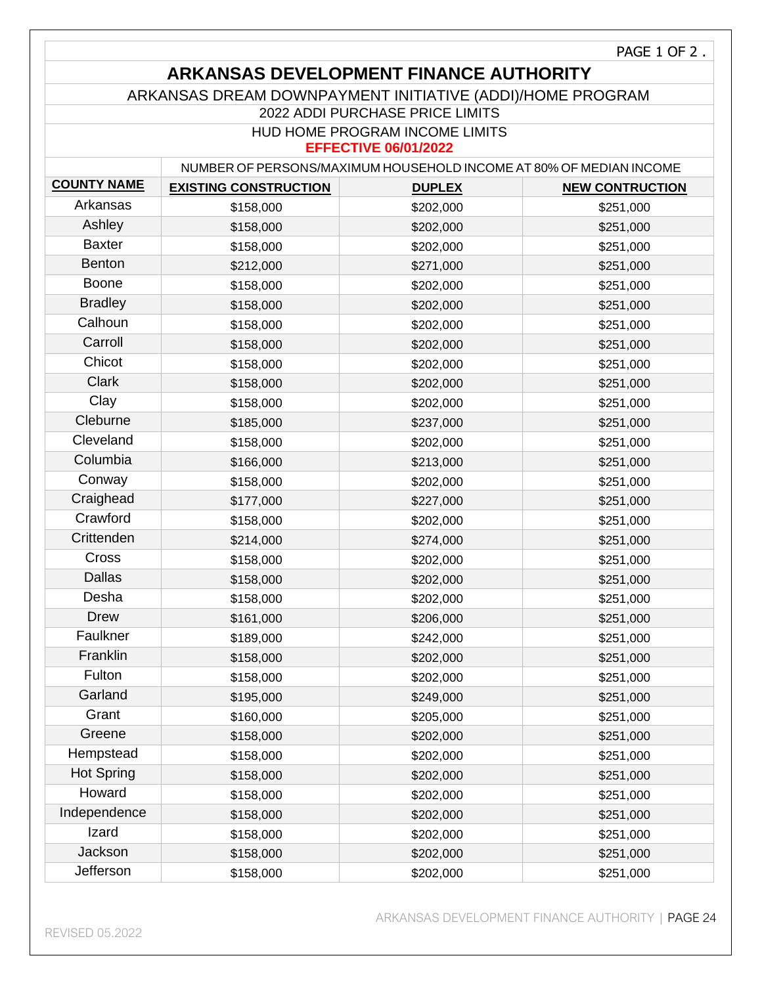### **ARKANSAS DEVELOPMENT FINANCE AUTHORITY**

#### ARKANSAS DREAM DOWNPAYMENT INITIATIVE (ADDI)/HOME PROGRAM

2022 ADDI PURCHASE PRICE LIMITS

#### HUD HOME PROGRAM INCOME LIMITS

#### **EFFECTIVE 06/01/2022**

|                    | NUMBER OF PERSONS/MAXIMUM HOUSEHOLD INCOME AT 80% OF MEDIAN INCOME |               |                        |  |
|--------------------|--------------------------------------------------------------------|---------------|------------------------|--|
| <b>COUNTY NAME</b> | <b>EXISTING CONSTRUCTION</b>                                       | <b>DUPLEX</b> | <b>NEW CONTRUCTION</b> |  |
| Arkansas           | \$158,000                                                          | \$202,000     | \$251,000              |  |
| Ashley             | \$158,000                                                          | \$202,000     | \$251,000              |  |
| <b>Baxter</b>      | \$158,000                                                          | \$202,000     | \$251,000              |  |
| <b>Benton</b>      | \$212,000                                                          | \$271,000     | \$251,000              |  |
| <b>Boone</b>       | \$158,000                                                          | \$202,000     | \$251,000              |  |
| <b>Bradley</b>     | \$158,000                                                          | \$202,000     | \$251,000              |  |
| Calhoun            | \$158,000                                                          | \$202,000     | \$251,000              |  |
| Carroll            | \$158,000                                                          | \$202,000     | \$251,000              |  |
| Chicot             | \$158,000                                                          | \$202,000     | \$251,000              |  |
| Clark              | \$158,000                                                          | \$202,000     | \$251,000              |  |
| Clay               | \$158,000                                                          | \$202,000     | \$251,000              |  |
| Cleburne           | \$185,000                                                          | \$237,000     | \$251,000              |  |
| Cleveland          | \$158,000                                                          | \$202,000     | \$251,000              |  |
| Columbia           | \$166,000                                                          | \$213,000     | \$251,000              |  |
| Conway             | \$158,000                                                          | \$202,000     | \$251,000              |  |
| Craighead          | \$177,000                                                          | \$227,000     | \$251,000              |  |
| Crawford           | \$158,000                                                          | \$202,000     | \$251,000              |  |
| Crittenden         | \$214,000                                                          | \$274,000     | \$251,000              |  |
| Cross              | \$158,000                                                          | \$202,000     | \$251,000              |  |
| <b>Dallas</b>      | \$158,000                                                          | \$202,000     | \$251,000              |  |
| Desha              | \$158,000                                                          | \$202,000     | \$251,000              |  |
| <b>Drew</b>        | \$161,000                                                          | \$206,000     | \$251,000              |  |
| Faulkner           | \$189,000                                                          | \$242,000     | \$251,000              |  |
| Franklin           | \$158,000                                                          | \$202,000     | \$251,000              |  |
| Fulton             | \$158,000                                                          | \$202,000     | \$251,000              |  |
| Garland            | \$195,000                                                          | \$249,000     | \$251,000              |  |
| Grant              | \$160,000                                                          | \$205,000     | \$251,000              |  |
| Greene             | \$158,000                                                          | \$202,000     | \$251,000              |  |
| Hempstead          | \$158,000                                                          | \$202,000     | \$251,000              |  |
| <b>Hot Spring</b>  | \$158,000                                                          | \$202,000     | \$251,000              |  |
| Howard             | \$158,000                                                          | \$202,000     | \$251,000              |  |
| Independence       | \$158,000                                                          | \$202,000     | \$251,000              |  |
| Izard              | \$158,000                                                          | \$202,000     | \$251,000              |  |
| Jackson            | \$158,000                                                          | \$202,000     | \$251,000              |  |
| Jefferson          | \$158,000                                                          | \$202,000     | \$251,000              |  |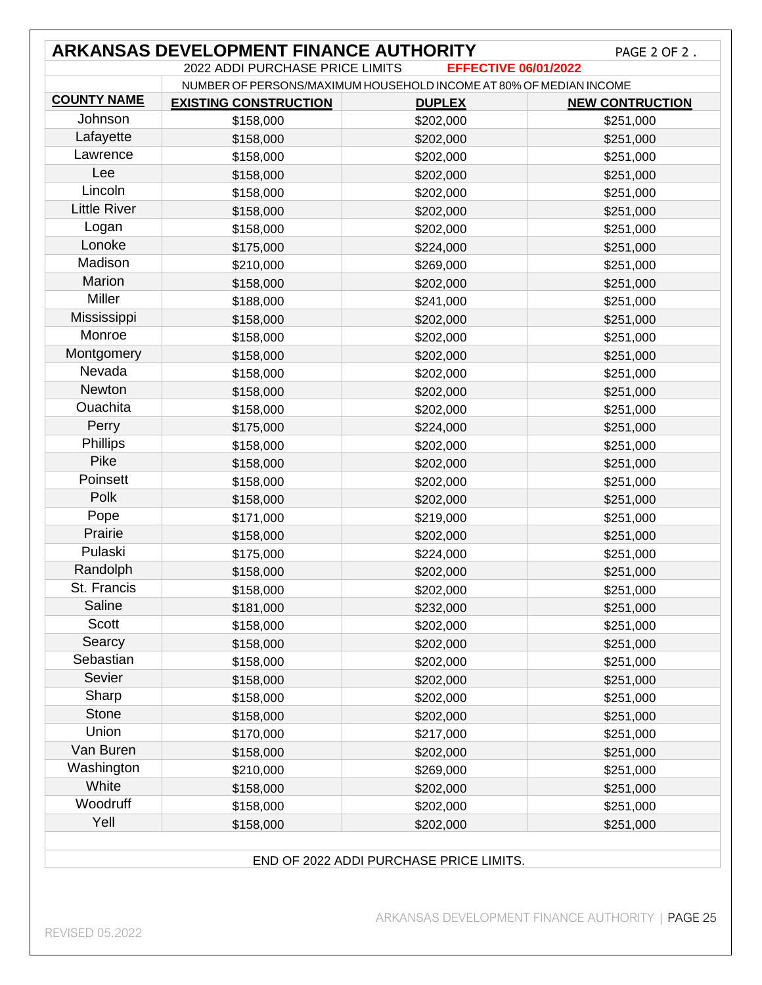|                     | <b>ARKANSAS DEVELOPMENT FINANCE AUTHORITY</b>                      |                             | PAGE 2 OF 2.           |
|---------------------|--------------------------------------------------------------------|-----------------------------|------------------------|
|                     | 2022 ADDI PURCHASE PRICE LIMITS                                    | <b>EFFECTIVE 06/01/2022</b> |                        |
| <b>COUNTY NAME</b>  | NUMBER OF PERSONS/MAXIMUM HOUSEHOLD INCOME AT 80% OF MEDIAN INCOME |                             |                        |
|                     | <b>EXISTING CONSTRUCTION</b>                                       | <b>DUPLEX</b>               | <b>NEW CONTRUCTION</b> |
| Johnson             | \$158,000                                                          | \$202,000                   | \$251,000              |
| Lafayette           | \$158,000                                                          | \$202,000                   | \$251,000              |
| Lawrence            | \$158,000                                                          | \$202,000                   | \$251,000              |
| Lee                 | \$158,000                                                          | \$202,000                   | \$251,000              |
| Lincoln             | \$158,000                                                          | \$202,000                   | \$251,000              |
| <b>Little River</b> | \$158,000                                                          | \$202,000                   | \$251,000              |
| Logan               | \$158,000                                                          | \$202,000                   | \$251,000              |
| Lonoke              | \$175,000                                                          | \$224,000                   | \$251,000              |
| Madison             | \$210,000                                                          | \$269,000                   | \$251,000              |
| Marion              | \$158,000                                                          | \$202,000                   | \$251,000              |
| Miller              | \$188,000                                                          | \$241,000                   | \$251,000              |
| Mississippi         | \$158,000                                                          | \$202,000                   | \$251,000              |
| Monroe              | \$158,000                                                          | \$202,000                   | \$251,000              |
| Montgomery          | \$158,000                                                          | \$202,000                   | \$251,000              |
| Nevada              | \$158,000                                                          | \$202,000                   | \$251,000              |
| Newton              | \$158,000                                                          | \$202,000                   | \$251,000              |
| Ouachita            | \$158,000                                                          | \$202,000                   | \$251,000              |
| Perry               | \$175,000                                                          | \$224,000                   | \$251,000              |
| Phillips            | \$158,000                                                          | \$202,000                   | \$251,000              |
| Pike                | \$158,000                                                          | \$202,000                   | \$251,000              |
| Poinsett            | \$158,000                                                          | \$202,000                   | \$251,000              |
| Polk                | \$158,000                                                          | \$202,000                   | \$251,000              |
| Pope                | \$171,000                                                          | \$219,000                   | \$251,000              |
| Prairie             | \$158,000                                                          | \$202,000                   | \$251,000              |
| Pulaski             |                                                                    |                             |                        |
| Randolph            | \$175,000                                                          | \$224,000                   | \$251,000              |
| St. Francis         | \$158,000                                                          | \$202,000                   | \$251,000              |
| Saline              | \$158,000                                                          | \$202,000                   | \$251,000              |
|                     | \$181,000                                                          | \$232,000                   | \$251,000              |
| <b>Scott</b>        | \$158,000                                                          | \$202,000                   | \$251,000              |
| Searcy              | \$158,000                                                          | \$202,000                   | \$251,000              |
| Sebastian           | \$158,000                                                          | \$202,000                   | \$251,000              |
| Sevier              | \$158,000                                                          | \$202,000                   | \$251,000              |
| Sharp               | \$158,000                                                          | \$202,000                   | \$251,000              |
| <b>Stone</b>        | \$158,000                                                          | \$202,000                   | \$251,000              |
| Union               | \$170,000                                                          | \$217,000                   | \$251,000              |
| Van Buren           | \$158,000                                                          | \$202,000                   | \$251,000              |
| Washington          | \$210,000                                                          | \$269,000                   | \$251,000              |
| White               | \$158,000                                                          | \$202,000                   | \$251,000              |
| Woodruff            | \$158,000                                                          | \$202,000                   | \$251,000              |
| Yell                | \$158,000                                                          | \$202,000                   | \$251,000              |

#### END OF 2022 ADDI PURCHASE PRICE LIMITS.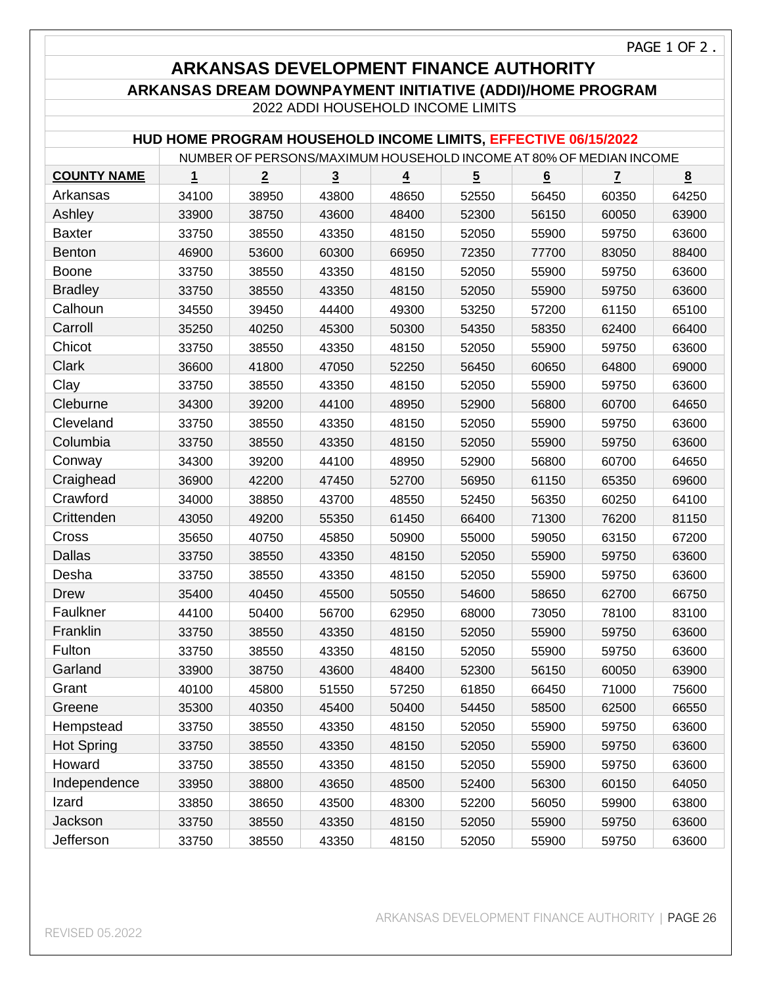PAGE 1 OF 2 .

### **ARKANSAS DEVELOPMENT FINANCE AUTHORITY**

#### **ARKANSAS DREAM DOWNPAYMENT INITIATIVE (ADDI)/HOME PROGRAM**

2022 ADDI HOUSEHOLD INCOME LIMITS

#### **HUD HOME PROGRAM HOUSEHOLD INCOME LIMITS, EFFECTIVE 06/15/2022**

|                    | NUMBER OF PERSONS/MAXIMUM HOUSEHOLD INCOME AT 80% OF MEDIAN INCOME |                |                |                         |                |       |                |       |
|--------------------|--------------------------------------------------------------------|----------------|----------------|-------------------------|----------------|-------|----------------|-------|
| <b>COUNTY NAME</b> | 1                                                                  | $\overline{2}$ | $\overline{3}$ | $\overline{\mathbf{4}}$ | $\overline{5}$ | 6     | $\overline{7}$ | 8     |
| Arkansas           | 34100                                                              | 38950          | 43800          | 48650                   | 52550          | 56450 | 60350          | 64250 |
| Ashley             | 33900                                                              | 38750          | 43600          | 48400                   | 52300          | 56150 | 60050          | 63900 |
| <b>Baxter</b>      | 33750                                                              | 38550          | 43350          | 48150                   | 52050          | 55900 | 59750          | 63600 |
| <b>Benton</b>      | 46900                                                              | 53600          | 60300          | 66950                   | 72350          | 77700 | 83050          | 88400 |
| <b>Boone</b>       | 33750                                                              | 38550          | 43350          | 48150                   | 52050          | 55900 | 59750          | 63600 |
| <b>Bradley</b>     | 33750                                                              | 38550          | 43350          | 48150                   | 52050          | 55900 | 59750          | 63600 |
| Calhoun            | 34550                                                              | 39450          | 44400          | 49300                   | 53250          | 57200 | 61150          | 65100 |
| Carroll            | 35250                                                              | 40250          | 45300          | 50300                   | 54350          | 58350 | 62400          | 66400 |
| Chicot             | 33750                                                              | 38550          | 43350          | 48150                   | 52050          | 55900 | 59750          | 63600 |
| Clark              | 36600                                                              | 41800          | 47050          | 52250                   | 56450          | 60650 | 64800          | 69000 |
| Clay               | 33750                                                              | 38550          | 43350          | 48150                   | 52050          | 55900 | 59750          | 63600 |
| Cleburne           | 34300                                                              | 39200          | 44100          | 48950                   | 52900          | 56800 | 60700          | 64650 |
| Cleveland          | 33750                                                              | 38550          | 43350          | 48150                   | 52050          | 55900 | 59750          | 63600 |
| Columbia           | 33750                                                              | 38550          | 43350          | 48150                   | 52050          | 55900 | 59750          | 63600 |
| Conway             | 34300                                                              | 39200          | 44100          | 48950                   | 52900          | 56800 | 60700          | 64650 |
| Craighead          | 36900                                                              | 42200          | 47450          | 52700                   | 56950          | 61150 | 65350          | 69600 |
| Crawford           | 34000                                                              | 38850          | 43700          | 48550                   | 52450          | 56350 | 60250          | 64100 |
| Crittenden         | 43050                                                              | 49200          | 55350          | 61450                   | 66400          | 71300 | 76200          | 81150 |
| Cross              | 35650                                                              | 40750          | 45850          | 50900                   | 55000          | 59050 | 63150          | 67200 |
| Dallas             | 33750                                                              | 38550          | 43350          | 48150                   | 52050          | 55900 | 59750          | 63600 |
| Desha              | 33750                                                              | 38550          | 43350          | 48150                   | 52050          | 55900 | 59750          | 63600 |
| Drew               | 35400                                                              | 40450          | 45500          | 50550                   | 54600          | 58650 | 62700          | 66750 |
| Faulkner           | 44100                                                              | 50400          | 56700          | 62950                   | 68000          | 73050 | 78100          | 83100 |
| Franklin           | 33750                                                              | 38550          | 43350          | 48150                   | 52050          | 55900 | 59750          | 63600 |
| Fulton             | 33750                                                              | 38550          | 43350          | 48150                   | 52050          | 55900 | 59750          | 63600 |
| Garland            | 33900                                                              | 38750          | 43600          | 48400                   | 52300          | 56150 | 60050          | 63900 |
| Grant              | 40100                                                              | 45800          | 51550          | 57250                   | 61850          | 66450 | 71000          | 75600 |
| Greene             | 35300                                                              | 40350          | 45400          | 50400                   | 54450          | 58500 | 62500          | 66550 |
| Hempstead          | 33750                                                              | 38550          | 43350          | 48150                   | 52050          | 55900 | 59750          | 63600 |
| <b>Hot Spring</b>  | 33750                                                              | 38550          | 43350          | 48150                   | 52050          | 55900 | 59750          | 63600 |
| Howard             | 33750                                                              | 38550          | 43350          | 48150                   | 52050          | 55900 | 59750          | 63600 |
| Independence       | 33950                                                              | 38800          | 43650          | 48500                   | 52400          | 56300 | 60150          | 64050 |
| Izard              | 33850                                                              | 38650          | 43500          | 48300                   | 52200          | 56050 | 59900          | 63800 |
| Jackson            | 33750                                                              | 38550          | 43350          | 48150                   | 52050          | 55900 | 59750          | 63600 |
| Jefferson          | 33750                                                              | 38550          | 43350          | 48150                   | 52050          | 55900 | 59750          | 63600 |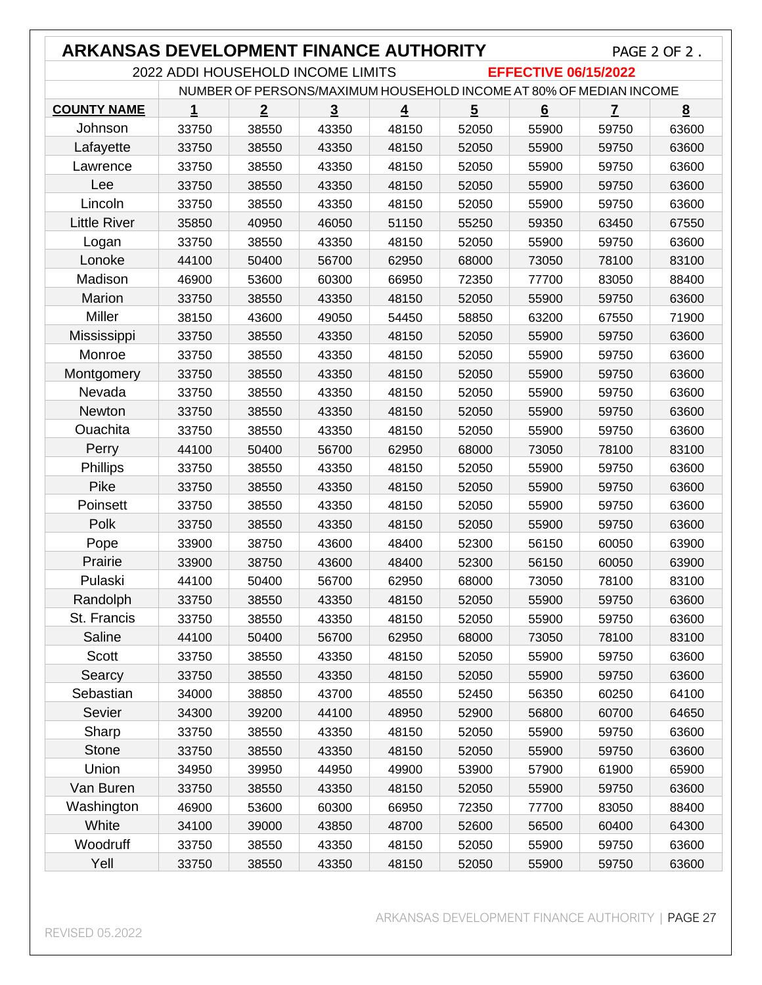| <b>ARKANSAS DEVELOPMENT FINANCE AUTHORITY</b><br>PAGE 2 OF 2.      |       |                |                |                |                |       |                         |       |
|--------------------------------------------------------------------|-------|----------------|----------------|----------------|----------------|-------|-------------------------|-------|
| 2022 ADDI HOUSEHOLD INCOME LIMITS<br><b>EFFECTIVE 06/15/2022</b>   |       |                |                |                |                |       |                         |       |
| NUMBER OF PERSONS/MAXIMUM HOUSEHOLD INCOME AT 80% OF MEDIAN INCOME |       |                |                |                |                |       |                         |       |
| <b>COUNTY NAME</b>                                                 | 1     | $\overline{2}$ | $\overline{3}$ | $\overline{4}$ | $\overline{5}$ | 6     | $\overline{\mathbf{r}}$ | 8     |
| Johnson                                                            | 33750 | 38550          | 43350          | 48150          | 52050          | 55900 | 59750                   | 63600 |
| Lafayette                                                          | 33750 | 38550          | 43350          | 48150          | 52050          | 55900 | 59750                   | 63600 |
| Lawrence                                                           | 33750 | 38550          | 43350          | 48150          | 52050          | 55900 | 59750                   | 63600 |
| Lee                                                                | 33750 | 38550          | 43350          | 48150          | 52050          | 55900 | 59750                   | 63600 |
| Lincoln                                                            | 33750 | 38550          | 43350          | 48150          | 52050          | 55900 | 59750                   | 63600 |
| <b>Little River</b>                                                | 35850 | 40950          | 46050          | 51150          | 55250          | 59350 | 63450                   | 67550 |
| Logan                                                              | 33750 | 38550          | 43350          | 48150          | 52050          | 55900 | 59750                   | 63600 |
| Lonoke                                                             | 44100 | 50400          | 56700          | 62950          | 68000          | 73050 | 78100                   | 83100 |
| Madison                                                            | 46900 | 53600          | 60300          | 66950          | 72350          | 77700 | 83050                   | 88400 |
| Marion                                                             | 33750 | 38550          | 43350          | 48150          | 52050          | 55900 | 59750                   | 63600 |
| Miller                                                             | 38150 | 43600          | 49050          | 54450          | 58850          | 63200 | 67550                   | 71900 |
| Mississippi                                                        | 33750 | 38550          | 43350          | 48150          | 52050          | 55900 | 59750                   | 63600 |
| Monroe                                                             | 33750 | 38550          | 43350          | 48150          | 52050          | 55900 | 59750                   | 63600 |
| Montgomery                                                         | 33750 | 38550          | 43350          | 48150          | 52050          | 55900 | 59750                   | 63600 |
| Nevada                                                             | 33750 | 38550          | 43350          | 48150          | 52050          | 55900 | 59750                   | 63600 |
| Newton                                                             | 33750 | 38550          | 43350          | 48150          | 52050          | 55900 | 59750                   | 63600 |
| Ouachita                                                           | 33750 | 38550          | 43350          | 48150          | 52050          | 55900 | 59750                   | 63600 |
| Perry                                                              | 44100 | 50400          | 56700          | 62950          | 68000          | 73050 | 78100                   | 83100 |
| Phillips                                                           | 33750 | 38550          | 43350          | 48150          | 52050          | 55900 | 59750                   | 63600 |
| Pike                                                               | 33750 | 38550          | 43350          | 48150          | 52050          | 55900 | 59750                   | 63600 |
| Poinsett                                                           | 33750 | 38550          | 43350          | 48150          | 52050          | 55900 | 59750                   | 63600 |
| Polk                                                               | 33750 | 38550          | 43350          | 48150          | 52050          | 55900 | 59750                   | 63600 |
| Pope                                                               | 33900 | 38750          | 43600          | 48400          | 52300          | 56150 | 60050                   | 63900 |
| Prairie                                                            | 33900 | 38750          | 43600          | 48400          | 52300          | 56150 | 60050                   | 63900 |
| Pulaski                                                            | 44100 | 50400          | 56700          | 62950          | 68000          | 73050 | 78100                   | 83100 |
| Randolph                                                           | 33750 | 38550          | 43350          | 48150          | 52050          | 55900 | 59750                   | 63600 |
| St. Francis                                                        | 33750 | 38550          | 43350          | 48150          | 52050          | 55900 | 59750                   | 63600 |
| Saline                                                             | 44100 | 50400          | 56700          | 62950          | 68000          | 73050 | 78100                   | 83100 |
| <b>Scott</b>                                                       | 33750 | 38550          | 43350          | 48150          | 52050          | 55900 | 59750                   | 63600 |
| Searcy                                                             | 33750 | 38550          | 43350          | 48150          | 52050          | 55900 | 59750                   | 63600 |
| Sebastian                                                          | 34000 | 38850          | 43700          | 48550          | 52450          | 56350 | 60250                   | 64100 |
| Sevier                                                             | 34300 | 39200          | 44100          | 48950          | 52900          | 56800 | 60700                   | 64650 |
| Sharp                                                              | 33750 | 38550          | 43350          | 48150          | 52050          | 55900 | 59750                   | 63600 |
| <b>Stone</b>                                                       | 33750 | 38550          | 43350          | 48150          | 52050          | 55900 | 59750                   | 63600 |
| Union                                                              | 34950 | 39950          | 44950          | 49900          | 53900          | 57900 | 61900                   | 65900 |
| Van Buren                                                          | 33750 | 38550          | 43350          | 48150          | 52050          | 55900 | 59750                   | 63600 |
| Washington                                                         | 46900 | 53600          | 60300          | 66950          | 72350          | 77700 | 83050                   | 88400 |
| White                                                              | 34100 | 39000          | 43850          | 48700          | 52600          | 56500 | 60400                   | 64300 |
| Woodruff                                                           | 33750 | 38550          | 43350          | 48150          | 52050          | 55900 | 59750                   | 63600 |
| Yell                                                               | 33750 | 38550          | 43350          | 48150          | 52050          | 55900 | 59750                   | 63600 |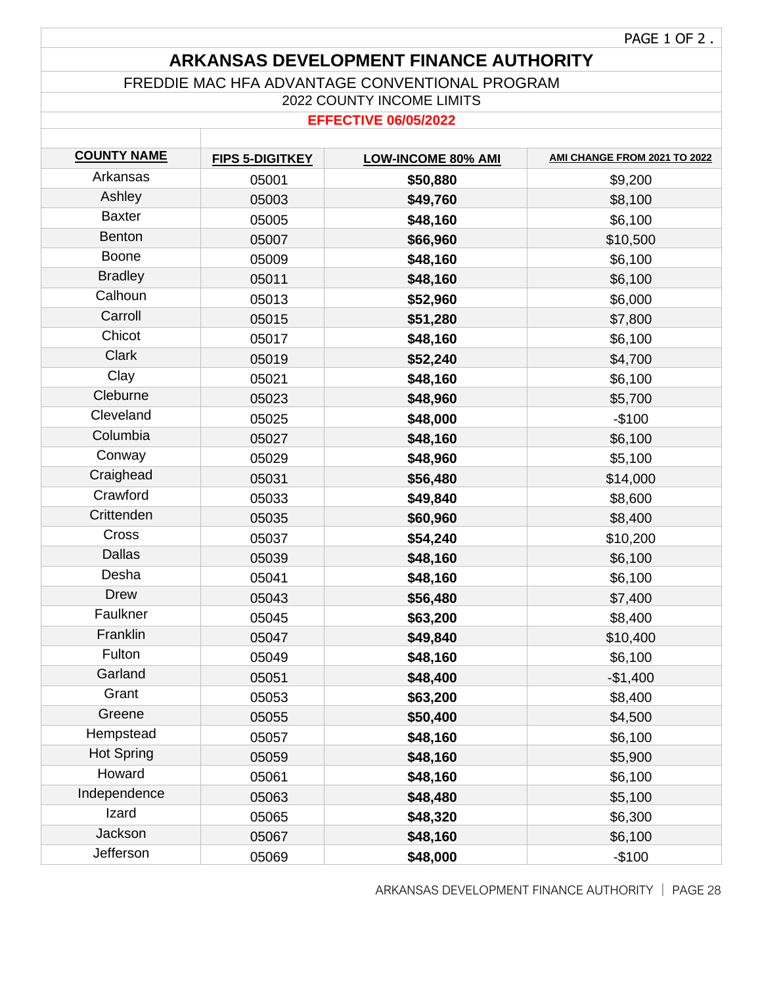### **ARKANSAS DEVELOPMENT FINANCE AUTHORITY**

#### FREDDIE MAC HFA ADVANTAGE CONVENTIONAL PROGRAM

2022 COUNTY INCOME LIMITS

#### **EFFECTIVE 06/05/2022**

| <b>COUNTY NAME</b> | <b>FIPS 5-DIGITKEY</b> | <b>LOW-INCOME 80% AMI</b> | AMI CHANGE FROM 2021 TO 2022 |
|--------------------|------------------------|---------------------------|------------------------------|
| Arkansas           | 05001                  | \$50,880                  | \$9,200                      |
| Ashley             | 05003                  | \$49,760                  | \$8,100                      |
| <b>Baxter</b>      | 05005                  | \$48,160                  | \$6,100                      |
| <b>Benton</b>      | 05007                  | \$66,960                  | \$10,500                     |
| <b>Boone</b>       | 05009                  | \$48,160                  | \$6,100                      |
| <b>Bradley</b>     | 05011                  | \$48,160                  | \$6,100                      |
| Calhoun            | 05013                  | \$52,960                  | \$6,000                      |
| Carroll            | 05015                  | \$51,280                  | \$7,800                      |
| Chicot             | 05017                  | \$48,160                  | \$6,100                      |
| <b>Clark</b>       | 05019                  | \$52,240                  | \$4,700                      |
| Clay               | 05021                  | \$48,160                  | \$6,100                      |
| Cleburne           | 05023                  | \$48,960                  | \$5,700                      |
| Cleveland          | 05025                  | \$48,000                  | $-$100$                      |
| Columbia           | 05027                  | \$48,160                  | \$6,100                      |
| Conway             | 05029                  | \$48,960                  | \$5,100                      |
| Craighead          | 05031                  | \$56,480                  | \$14,000                     |
| Crawford           | 05033                  | \$49,840                  | \$8,600                      |
| Crittenden         | 05035                  | \$60,960                  | \$8,400                      |
| Cross              | 05037                  | \$54,240                  | \$10,200                     |
| <b>Dallas</b>      | 05039                  | \$48,160                  | \$6,100                      |
| Desha              | 05041                  | \$48,160                  | \$6,100                      |
| <b>Drew</b>        | 05043                  | \$56,480                  | \$7,400                      |
| Faulkner           | 05045                  | \$63,200                  | \$8,400                      |
| Franklin           | 05047                  | \$49,840                  | \$10,400                     |
| Fulton             | 05049                  | \$48,160                  | \$6,100                      |
| Garland            | 05051                  | \$48,400                  | $-$1,400$                    |
| Grant              | 05053                  | \$63,200                  | \$8,400                      |
| Greene             | 05055                  | \$50,400                  | \$4,500                      |
| Hempstead          | 05057                  | \$48,160                  | \$6,100                      |
| <b>Hot Spring</b>  | 05059                  | \$48,160                  | \$5,900                      |
| Howard             | 05061                  | \$48,160                  | \$6,100                      |
| Independence       | 05063                  | \$48,480                  | \$5,100                      |
| Izard              | 05065                  | \$48,320                  | \$6,300                      |
| Jackson            | 05067                  | \$48,160                  | \$6,100                      |
| Jefferson          | 05069                  | \$48,000                  | $-$100$                      |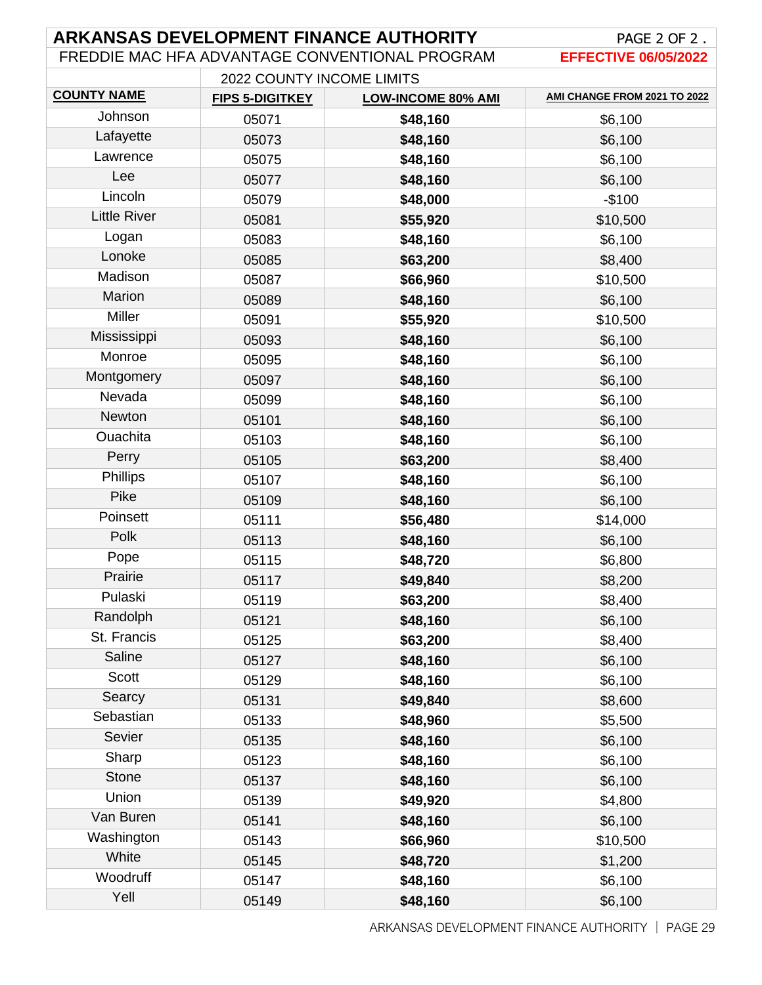| <b>ARKANSAS DEVELOPMENT FINANCE AUTHORITY</b>  | PAGE 2 OF 2.                |                           |                              |  |
|------------------------------------------------|-----------------------------|---------------------------|------------------------------|--|
| FREDDIE MAC HFA ADVANTAGE CONVENTIONAL PROGRAM | <b>EFFECTIVE 06/05/2022</b> |                           |                              |  |
| 2022 COUNTY INCOME LIMITS                      |                             |                           |                              |  |
| <b>COUNTY NAME</b>                             | <b>FIPS 5-DIGITKEY</b>      | <b>LOW-INCOME 80% AMI</b> | AMI CHANGE FROM 2021 TO 2022 |  |
| Johnson                                        | 05071                       | \$48,160                  | \$6,100                      |  |
| Lafayette                                      | 05073                       | \$48,160                  | \$6,100                      |  |
| Lawrence                                       | 05075                       | \$48,160                  | \$6,100                      |  |
| Lee                                            | 05077                       | \$48,160                  | \$6,100                      |  |
| Lincoln                                        | 05079                       | \$48,000                  | $-$100$                      |  |
| <b>Little River</b>                            | 05081                       | \$55,920                  | \$10,500                     |  |
| Logan                                          | 05083                       | \$48,160                  | \$6,100                      |  |
| Lonoke                                         | 05085                       | \$63,200                  | \$8,400                      |  |
| Madison                                        | 05087                       | \$66,960                  | \$10,500                     |  |
| Marion                                         | 05089                       | \$48,160                  | \$6,100                      |  |
| <b>Miller</b>                                  | 05091                       | \$55,920                  | \$10,500                     |  |
| Mississippi                                    | 05093                       | \$48,160                  | \$6,100                      |  |
| Monroe                                         | 05095                       | \$48,160                  | \$6,100                      |  |
| Montgomery                                     | 05097                       | \$48,160                  | \$6,100                      |  |
| Nevada                                         | 05099                       | \$48,160                  | \$6,100                      |  |
| Newton                                         | 05101                       | \$48,160                  | \$6,100                      |  |
| Ouachita                                       | 05103                       | \$48,160                  | \$6,100                      |  |
| Perry                                          | 05105                       | \$63,200                  | \$8,400                      |  |
| <b>Phillips</b>                                | 05107                       | \$48,160                  | \$6,100                      |  |
| Pike                                           | 05109                       | \$48,160                  | \$6,100                      |  |
| Poinsett                                       | 05111                       | \$56,480                  | \$14,000                     |  |
| Polk                                           | 05113                       | \$48,160                  | \$6,100                      |  |
| Pope                                           | 05115                       | \$48,720                  | \$6,800                      |  |
| Prairie                                        | 05117                       | \$49,840                  | \$8,200                      |  |
| Pulaski                                        | 05119                       | \$63,200                  | \$8,400                      |  |
| Randolph                                       | 05121                       | \$48,160                  | \$6,100                      |  |
| St. Francis                                    | 05125                       | \$63,200                  | \$8,400                      |  |
| Saline                                         | 05127                       | \$48,160                  | \$6,100                      |  |
| Scott                                          | 05129                       | \$48,160                  | \$6,100                      |  |
| Searcy                                         | 05131                       | \$49,840                  | \$8,600                      |  |
| Sebastian                                      | 05133                       | \$48,960                  | \$5,500                      |  |
| Sevier                                         | 05135                       | \$48,160                  | \$6,100                      |  |
| Sharp                                          | 05123                       | \$48,160                  | \$6,100                      |  |
| <b>Stone</b>                                   | 05137                       | \$48,160                  | \$6,100                      |  |
| Union                                          | 05139                       | \$49,920                  | \$4,800                      |  |
| Van Buren                                      | 05141                       | \$48,160                  | \$6,100                      |  |
| Washington                                     | 05143                       | \$66,960                  | \$10,500                     |  |
| White                                          | 05145                       | \$48,720                  | \$1,200                      |  |
| Woodruff                                       | 05147                       | \$48,160                  | \$6,100                      |  |
| Yell                                           | 05149                       | \$48,160                  | \$6,100                      |  |